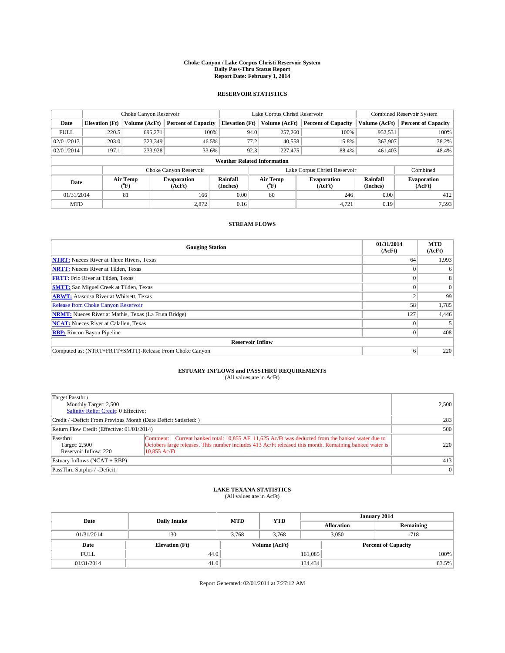#### **Choke Canyon / Lake Corpus Christi Reservoir System Daily Pass-Thru Status Report Report Date: February 1, 2014**

### **RESERVOIR STATISTICS**

|             |                                    | Choke Canyon Reservoir |                              |                                          | Lake Corpus Christi Reservoir | <b>Combined Reservoir System</b> |                      |                              |  |
|-------------|------------------------------------|------------------------|------------------------------|------------------------------------------|-------------------------------|----------------------------------|----------------------|------------------------------|--|
| Date        | <b>Elevation</b> (Ft)              | Volume (AcFt)          | <b>Percent of Capacity</b>   | <b>Elevation (Ft)</b>                    | Volume (AcFt)                 | <b>Percent of Capacity</b>       | Volume (AcFt)        | Percent of Capacity          |  |
| <b>FULL</b> | 220.5                              | 695.271                | 100%                         | 94.0                                     | 257,260                       | 100%                             | 952,531              | 100%                         |  |
| 02/01/2013  | 203.0                              | 323,349                | 46.5%                        | 77.2                                     | 40,558                        | 15.8%                            | 363,907              | 38.2%                        |  |
| 02/01/2014  | 197.1                              | 233,928                | 33.6%                        | 92.3                                     | 227,475                       | 88.4%                            | 461,403              | 48.4%                        |  |
|             | <b>Weather Related Information</b> |                        |                              |                                          |                               |                                  |                      |                              |  |
|             |                                    |                        | Choke Canyon Reservoir       |                                          | Lake Corpus Christi Reservoir | Combined                         |                      |                              |  |
| Date        |                                    | Air Temp<br>(°F)       | <b>Evaporation</b><br>(AcFt) | Rainfall<br>Air Temp<br>(Inches)<br>(°F) |                               | <b>Evaporation</b><br>(AcFt)     | Rainfall<br>(Inches) | <b>Evaporation</b><br>(AcFt) |  |
| 01/31/2014  |                                    | 81                     | 166                          | 0.00                                     | 80                            | 246                              | 0.00                 | 412                          |  |
| <b>MTD</b>  |                                    |                        | 2,872                        | 0.16                                     |                               | 4,721                            | 0.19                 | 7.593                        |  |

### **STREAM FLOWS**

| <b>Gauging Station</b>                                       | 01/31/2014<br>(AcFt) | <b>MTD</b><br>(AcFt) |  |  |  |  |
|--------------------------------------------------------------|----------------------|----------------------|--|--|--|--|
| <b>NTRT:</b> Nueces River at Three Rivers, Texas             | 64                   | 1,993                |  |  |  |  |
| <b>NRTT:</b> Nueces River at Tilden, Texas                   |                      | 6                    |  |  |  |  |
| <b>FRTT:</b> Frio River at Tilden, Texas                     |                      |                      |  |  |  |  |
| <b>SMTT:</b> San Miguel Creek at Tilden, Texas               |                      | $\Omega$             |  |  |  |  |
| <b>ARWT:</b> Atascosa River at Whitsett, Texas               |                      | 99                   |  |  |  |  |
| <b>Release from Choke Canyon Reservoir</b>                   | 58                   | 1,785                |  |  |  |  |
| <b>NRMT:</b> Nueces River at Mathis, Texas (La Fruta Bridge) | 127                  | 4,446                |  |  |  |  |
| <b>NCAT:</b> Nueces River at Calallen, Texas                 |                      |                      |  |  |  |  |
| <b>RBP:</b> Rincon Bayou Pipeline                            | $\Omega$             | 408                  |  |  |  |  |
| <b>Reservoir Inflow</b>                                      |                      |                      |  |  |  |  |
| Computed as: (NTRT+FRTT+SMTT)-Release From Choke Canyon      | h                    | 220                  |  |  |  |  |

# **ESTUARY INFLOWS and PASSTHRU REQUIREMENTS**<br>(All values are in AcFt)

| Target Passthru<br>Monthly Target: 2,500<br>Salinity Relief Credit: 0 Effective: | 2,500                                                                                                                                                                                                                        |           |
|----------------------------------------------------------------------------------|------------------------------------------------------------------------------------------------------------------------------------------------------------------------------------------------------------------------------|-----------|
| Credit / -Deficit From Previous Month (Date Deficit Satisfied: )                 | 283                                                                                                                                                                                                                          |           |
| Return Flow Credit (Effective: 01/01/2014)                                       | 500                                                                                                                                                                                                                          |           |
| Passthru<br>Target: 2,500<br>Reservoir Inflow: 220                               | Comment: Current banked total: 10,855 AF, 11,625 Ac/Ft was deducted from the banked water due to<br>Octobers large releases. This number includes 413 Ac/Ft released this month. Remaining banked water is<br>$10.855$ Ac/Ft | 220       |
| Estuary Inflows $(NCAT + RBP)$                                                   | 413                                                                                                                                                                                                                          |           |
| PassThru Surplus / -Deficit:                                                     |                                                                                                                                                                                                                              | $\vert$ 0 |

## **LAKE TEXANA STATISTICS** (All values are in AcFt)

| Date        | <b>Daily Intake</b>   | <b>MTD</b>    | <b>YTD</b> | January 2014      |                            |           |       |
|-------------|-----------------------|---------------|------------|-------------------|----------------------------|-----------|-------|
|             |                       |               |            | <b>Allocation</b> |                            | Remaining |       |
| 01/31/2014  | 130                   | 3.768         | 3.768      | 3,050             |                            | $-718$    |       |
| Date        | <b>Elevation</b> (Ft) | Volume (AcFt) |            |                   | <b>Percent of Capacity</b> |           |       |
| <b>FULL</b> | 44.0'                 |               |            | 161,085           |                            |           | 100%  |
| 01/31/2014  | 41.0                  |               |            | 134,434           |                            |           | 83.5% |

Report Generated: 02/01/2014 at 7:27:12 AM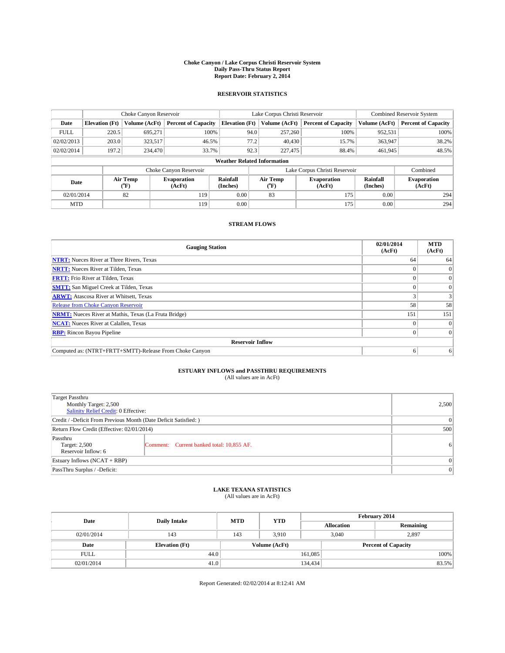#### **Choke Canyon / Lake Corpus Christi Reservoir System Daily Pass-Thru Status Report Report Date: February 2, 2014**

### **RESERVOIR STATISTICS**

|             |                                    | Choke Canyon Reservoir |                              |                       | Lake Corpus Christi Reservoir | <b>Combined Reservoir System</b> |                      |                              |  |
|-------------|------------------------------------|------------------------|------------------------------|-----------------------|-------------------------------|----------------------------------|----------------------|------------------------------|--|
| Date        | <b>Elevation</b> (Ft)              | Volume (AcFt)          | <b>Percent of Capacity</b>   | <b>Elevation (Ft)</b> | Volume (AcFt)                 | <b>Percent of Capacity</b>       | Volume (AcFt)        | Percent of Capacity          |  |
| <b>FULL</b> | 220.5                              | 695,271                | 100%                         | 94.0                  | 257,260                       | 100%                             | 952,531              | 100%                         |  |
| 02/02/2013  | 203.0                              | 323,517                | 46.5%                        | 77.2                  | 40,430                        | 15.7%                            | 363,947              | 38.2%                        |  |
| 02/02/2014  | 197.2                              | 234,470                | 33.7%                        | 92.3                  | 227,475                       | 88.4%                            | 461,945              | 48.5%                        |  |
|             | <b>Weather Related Information</b> |                        |                              |                       |                               |                                  |                      |                              |  |
|             |                                    |                        | Choke Canyon Reservoir       |                       |                               | Lake Corpus Christi Reservoir    |                      | Combined                     |  |
| Date        |                                    | Air Temp<br>(°F)       | <b>Evaporation</b><br>(AcFt) | Rainfall<br>(Inches)  | Air Temp<br>("F)              | <b>Evaporation</b><br>(AcFt)     | Rainfall<br>(Inches) | <b>Evaporation</b><br>(AcFt) |  |
| 02/01/2014  |                                    | 82                     | 119                          | 0.00                  | 83                            | 175                              | 0.00                 | 294                          |  |
| <b>MTD</b>  |                                    |                        | 119                          | 0.00                  |                               | 175                              | 0.00                 | 294                          |  |

### **STREAM FLOWS**

| <b>Gauging Station</b>                                       | 02/01/2014<br>(AcFt) | <b>MTD</b><br>(AcFt) |  |  |  |
|--------------------------------------------------------------|----------------------|----------------------|--|--|--|
| <b>NTRT:</b> Nueces River at Three Rivers, Texas             | 64                   | 64                   |  |  |  |
| <b>NRTT:</b> Nueces River at Tilden, Texas                   |                      | $\Omega$             |  |  |  |
| <b>FRTT:</b> Frio River at Tilden, Texas                     |                      | $\overline{0}$       |  |  |  |
| <b>SMTT:</b> San Miguel Creek at Tilden, Texas               |                      | $\Omega$             |  |  |  |
| <b>ARWT:</b> Atascosa River at Whitsett, Texas               |                      | 3                    |  |  |  |
| <b>Release from Choke Canyon Reservoir</b>                   | 58                   | 58                   |  |  |  |
| <b>NRMT:</b> Nueces River at Mathis, Texas (La Fruta Bridge) | 151                  | 151                  |  |  |  |
| <b>NCAT:</b> Nueces River at Calallen, Texas                 |                      | $\Omega$             |  |  |  |
| <b>RBP:</b> Rincon Bayou Pipeline                            |                      | $\Omega$             |  |  |  |
| <b>Reservoir Inflow</b>                                      |                      |                      |  |  |  |
| Computed as: (NTRT+FRTT+SMTT)-Release From Choke Canyon      |                      | 6                    |  |  |  |

# **ESTUARY INFLOWS and PASSTHRU REQUIREMENTS**<br>(All values are in AcFt)

| Target Passthru                                                  |                                           |   |  |  |
|------------------------------------------------------------------|-------------------------------------------|---|--|--|
| Monthly Target: 2,500                                            |                                           |   |  |  |
| Salinity Relief Credit: 0 Effective:                             |                                           |   |  |  |
| Credit / -Deficit From Previous Month (Date Deficit Satisfied: ) | 0                                         |   |  |  |
| Return Flow Credit (Effective: 02/01/2014)                       |                                           |   |  |  |
| Passthru<br>Target: 2,500                                        | Comment: Current banked total: 10,855 AF. | 6 |  |  |
| Reservoir Inflow: 6                                              |                                           |   |  |  |
| Estuary Inflows (NCAT + RBP)                                     |                                           |   |  |  |
| PassThru Surplus / -Deficit:                                     | 0                                         |   |  |  |

# **LAKE TEXANA STATISTICS** (All values are in AcFt)

| Date        | <b>Daily Intake</b>   | <b>MTD</b>    | <b>YTD</b> | February 2014 |                            |           |  |
|-------------|-----------------------|---------------|------------|---------------|----------------------------|-----------|--|
|             |                       |               |            |               | <b>Allocation</b>          | Remaining |  |
| 02/01/2014  | 143                   | 143           | 3,910      |               | 3,040<br>2,897             |           |  |
| Date        | <b>Elevation</b> (Ft) | Volume (AcFt) |            |               | <b>Percent of Capacity</b> |           |  |
| <b>FULL</b> | 44.0                  |               |            | 161,085       |                            | 100%      |  |
| 02/01/2014  | 41.0                  |               |            | 134,434       |                            | 83.5%     |  |

Report Generated: 02/02/2014 at 8:12:41 AM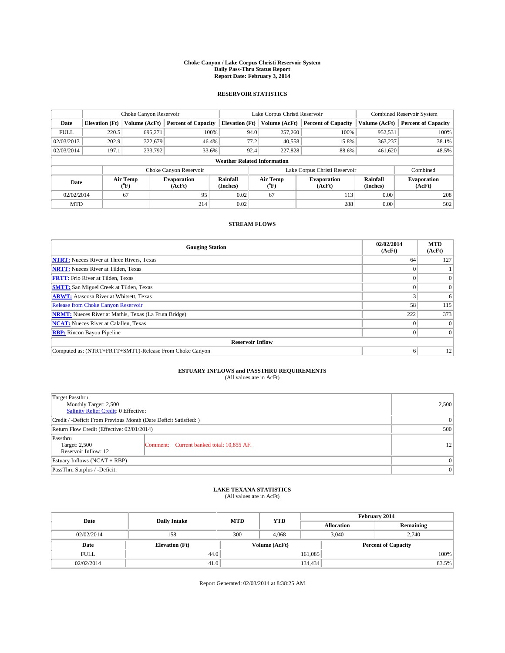#### **Choke Canyon / Lake Corpus Christi Reservoir System Daily Pass-Thru Status Report Report Date: February 3, 2014**

### **RESERVOIR STATISTICS**

|             | Choke Canyon Reservoir             |                  | Lake Corpus Christi Reservoir |                       |                  |               | <b>Combined Reservoir System</b> |                      |                              |
|-------------|------------------------------------|------------------|-------------------------------|-----------------------|------------------|---------------|----------------------------------|----------------------|------------------------------|
| Date        | <b>Elevation</b> (Ft)              | Volume (AcFt)    | <b>Percent of Capacity</b>    | <b>Elevation (Ft)</b> |                  | Volume (AcFt) | <b>Percent of Capacity</b>       | Volume (AcFt)        | <b>Percent of Capacity</b>   |
| <b>FULL</b> | 220.5                              | 695.271          | 100%                          |                       | 94.0             | 257,260       | 100%                             | 952,531              | 100%                         |
| 02/03/2013  | 202.9                              | 322,679          | 46.4%                         |                       | 77.2             | 40,558        | 15.8%                            | 363,237              | 38.1%                        |
| 02/03/2014  | 197.1                              | 233,792          | 33.6%                         |                       | 92.4             | 227,828       | 88.6%                            | 461.620              | 48.5%                        |
|             | <b>Weather Related Information</b> |                  |                               |                       |                  |               |                                  |                      |                              |
|             |                                    |                  | Choke Canyon Reservoir        |                       |                  |               | Lake Corpus Christi Reservoir    |                      | Combined                     |
| Date        |                                    | Air Temp<br>(°F) | <b>Evaporation</b><br>(AcFt)  | Rainfall<br>(Inches)  | Air Temp<br>(°F) |               | <b>Evaporation</b><br>(AcFt)     | Rainfall<br>(Inches) | <b>Evaporation</b><br>(AcFt) |
| 02/02/2014  |                                    | 67               | 95                            | 0.02                  | 67               |               | 113                              | 0.00                 | 208                          |
| <b>MTD</b>  |                                    |                  | 214                           | 0.02                  |                  |               | 288                              | 0.00                 | 502                          |

### **STREAM FLOWS**

| <b>Gauging Station</b>                                       | 02/02/2014<br>(AcFt) | <b>MTD</b><br>(AcFt) |  |  |  |  |
|--------------------------------------------------------------|----------------------|----------------------|--|--|--|--|
| <b>NTRT:</b> Nueces River at Three Rivers, Texas             | 64                   | 127                  |  |  |  |  |
| <b>NRTT:</b> Nueces River at Tilden, Texas                   |                      |                      |  |  |  |  |
| <b>FRTT:</b> Frio River at Tilden, Texas                     |                      | $\overline{0}$       |  |  |  |  |
| <b>SMTT:</b> San Miguel Creek at Tilden, Texas               |                      | $\Omega$             |  |  |  |  |
| <b>ARWT:</b> Atascosa River at Whitsett, Texas               |                      | 6                    |  |  |  |  |
| <b>Release from Choke Canyon Reservoir</b>                   | 58                   | 115                  |  |  |  |  |
| <b>NRMT:</b> Nueces River at Mathis, Texas (La Fruta Bridge) | 222                  | 373                  |  |  |  |  |
| <b>NCAT:</b> Nueces River at Calallen, Texas                 |                      | $\Omega$             |  |  |  |  |
| <b>RBP:</b> Rincon Bayou Pipeline                            |                      | $\Omega$             |  |  |  |  |
| <b>Reservoir Inflow</b>                                      |                      |                      |  |  |  |  |
| Computed as: (NTRT+FRTT+SMTT)-Release From Choke Canyon      | o                    | 12                   |  |  |  |  |

# **ESTUARY INFLOWS and PASSTHRU REQUIREMENTS**<br>(All values are in AcFt)

| <b>Target Passthru</b><br>Monthly Target: 2,500<br>Salinity Relief Credit: 0 Effective: |                                           |    |  |  |
|-----------------------------------------------------------------------------------------|-------------------------------------------|----|--|--|
| Credit / -Deficit From Previous Month (Date Deficit Satisfied: )                        | 0                                         |    |  |  |
| Return Flow Credit (Effective: 02/01/2014)                                              | 500                                       |    |  |  |
| Passthru<br>Target: 2,500<br>Reservoir Inflow: 12                                       | Comment: Current banked total: 10,855 AF. | 12 |  |  |
| Estuary Inflows (NCAT + RBP)                                                            |                                           |    |  |  |
| PassThru Surplus / -Deficit:                                                            | $\Omega$                                  |    |  |  |

## **LAKE TEXANA STATISTICS** (All values are in AcFt)

| Date        |                       | <b>MTD</b> | <b>YTD</b>    | February 2014     |                            |           |  |
|-------------|-----------------------|------------|---------------|-------------------|----------------------------|-----------|--|
|             | <b>Daily Intake</b>   |            |               | <b>Allocation</b> |                            | Remaining |  |
| 02/02/2014  | 158                   | 300        | 4.068         |                   | 3,040<br>2.740             |           |  |
| Date        | <b>Elevation</b> (Ft) |            | Volume (AcFt) |                   | <b>Percent of Capacity</b> |           |  |
| <b>FULL</b> | 44.0                  |            |               | 161,085           |                            | 100%      |  |
| 02/02/2014  | 41.0                  |            |               | 134,434           |                            | 83.5%     |  |

Report Generated: 02/03/2014 at 8:38:25 AM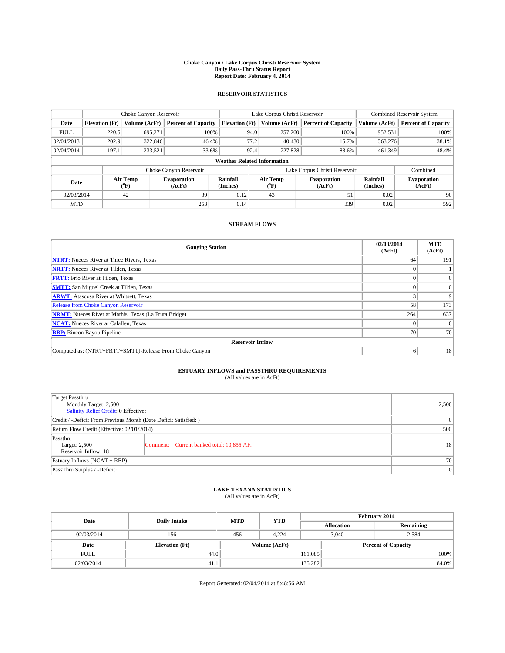#### **Choke Canyon / Lake Corpus Christi Reservoir System Daily Pass-Thru Status Report Report Date: February 4, 2014**

### **RESERVOIR STATISTICS**

|                                                                                  | Choke Canyon Reservoir |               |                            |                              | Lake Corpus Christi Reservoir      | <b>Combined Reservoir System</b> |               |                            |
|----------------------------------------------------------------------------------|------------------------|---------------|----------------------------|------------------------------|------------------------------------|----------------------------------|---------------|----------------------------|
| Date                                                                             | <b>Elevation</b> (Ft)  | Volume (AcFt) | <b>Percent of Capacity</b> | <b>Elevation (Ft)</b>        | Volume (AcFt)                      | <b>Percent of Capacity</b>       | Volume (AcFt) | <b>Percent of Capacity</b> |
| <b>FULL</b>                                                                      | 220.5                  | 695.271       | 100%                       |                              | 94.0<br>257,260                    | 100%                             | 952,531       | 100%                       |
| 02/04/2013                                                                       | 202.9                  | 322,846       | 46.4%                      |                              | 77.2<br>40,430                     | 15.7%                            | 363,276       | 38.1%                      |
| 02/04/2014                                                                       | 197.1                  | 233,521       | 33.6%                      |                              | 92.4<br>227,828                    | 88.6%                            | 461.349       | 48.4%                      |
|                                                                                  |                        |               |                            |                              | <b>Weather Related Information</b> |                                  |               |                            |
|                                                                                  |                        |               | Choke Canyon Reservoir     |                              |                                    | Lake Corpus Christi Reservoir    |               | Combined                   |
| Rainfall<br>Air Temp<br><b>Evaporation</b><br>Date<br>(Inches)<br>(°F)<br>(AcFt) |                        |               | Air Temp<br>(°F)           | <b>Evaporation</b><br>(AcFt) | Rainfall<br>(Inches)               | <b>Evaporation</b><br>(AcFt)     |               |                            |
| 02/03/2014                                                                       |                        | 42            | 39                         | 0.12                         | 43                                 | 51                               | 0.02          | 90                         |
| <b>MTD</b>                                                                       |                        |               | 253                        | 0.14                         |                                    | 339                              | 0.02          | 592                        |

### **STREAM FLOWS**

| <b>Gauging Station</b>                                       | 02/03/2014<br>(AcFt) | <b>MTD</b><br>(AcFt) |  |  |  |  |
|--------------------------------------------------------------|----------------------|----------------------|--|--|--|--|
| <b>NTRT:</b> Nueces River at Three Rivers, Texas             | 64                   | 191                  |  |  |  |  |
| <b>NRTT:</b> Nueces River at Tilden, Texas                   |                      |                      |  |  |  |  |
| <b>FRTT:</b> Frio River at Tilden, Texas                     |                      | $\overline{0}$       |  |  |  |  |
| <b>SMTT:</b> San Miguel Creek at Tilden, Texas               |                      | $\Omega$             |  |  |  |  |
| <b>ARWT:</b> Atascosa River at Whitsett, Texas               |                      | 9                    |  |  |  |  |
| <b>Release from Choke Canyon Reservoir</b>                   | 58                   | 173                  |  |  |  |  |
| <b>NRMT:</b> Nueces River at Mathis, Texas (La Fruta Bridge) | 264                  | 637                  |  |  |  |  |
| <b>NCAT:</b> Nueces River at Calallen, Texas                 |                      | $\Omega$             |  |  |  |  |
| <b>RBP:</b> Rincon Bayou Pipeline                            | 70                   | 70                   |  |  |  |  |
| <b>Reservoir Inflow</b>                                      |                      |                      |  |  |  |  |
| Computed as: (NTRT+FRTT+SMTT)-Release From Choke Canyon      | 6                    | 18                   |  |  |  |  |

# **ESTUARY INFLOWS and PASSTHRU REQUIREMENTS**<br>(All values are in AcFt)

| Target Passthru<br>Monthly Target: 2,500                         | 2,500                                     |           |  |  |  |
|------------------------------------------------------------------|-------------------------------------------|-----------|--|--|--|
| Salinity Relief Credit: 0 Effective:                             |                                           |           |  |  |  |
| Credit / -Deficit From Previous Month (Date Deficit Satisfied: ) |                                           |           |  |  |  |
| Return Flow Credit (Effective: 02/01/2014)                       |                                           |           |  |  |  |
| Passthru<br>Target: 2,500<br>Reservoir Inflow: 18                | Comment: Current banked total: 10,855 AF. | <b>18</b> |  |  |  |
| Estuary Inflows (NCAT + RBP)                                     | <b>70</b>                                 |           |  |  |  |
| PassThru Surplus / -Deficit:                                     | 0                                         |           |  |  |  |

# **LAKE TEXANA STATISTICS** (All values are in AcFt)

| Date        | <b>Daily Intake</b>   | <b>MTD</b> | <b>YTD</b>    | February 2014 |                            |           |  |
|-------------|-----------------------|------------|---------------|---------------|----------------------------|-----------|--|
|             |                       |            |               |               | <b>Allocation</b>          | Remaining |  |
| 02/03/2014  | 156                   | 456        | 4,224         |               | 3,040<br>2,584             |           |  |
| Date        | <b>Elevation</b> (Ft) |            | Volume (AcFt) |               | <b>Percent of Capacity</b> |           |  |
| <b>FULL</b> | 44.0                  |            |               | 161,085       |                            | 100%      |  |
| 02/03/2014  | 41.1                  |            |               | 135,282       |                            | 84.0%     |  |

Report Generated: 02/04/2014 at 8:48:56 AM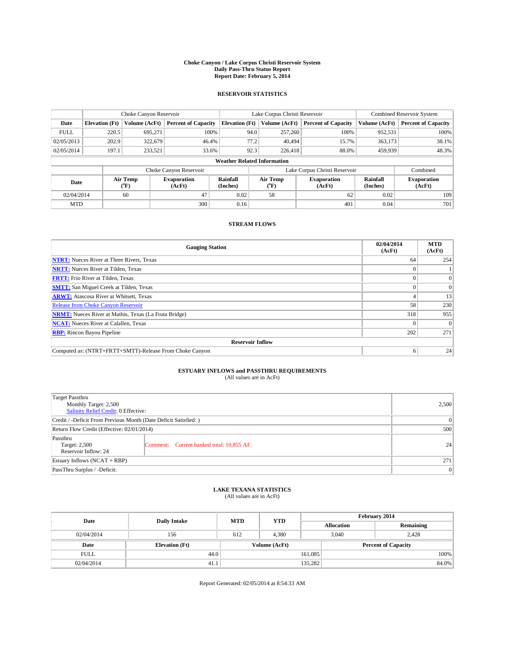#### **Choke Canyon / Lake Corpus Christi Reservoir System Daily Pass-Thru Status Report Report Date: February 5, 2014**

### **RESERVOIR STATISTICS**

|                                                          | Choke Canyon Reservoir |                      |                            |                                    | Lake Corpus Christi Reservoir               | <b>Combined Reservoir System</b> |               |                     |
|----------------------------------------------------------|------------------------|----------------------|----------------------------|------------------------------------|---------------------------------------------|----------------------------------|---------------|---------------------|
| Date                                                     | <b>Elevation</b> (Ft)  | Volume (AcFt)        | <b>Percent of Capacity</b> | <b>Elevation (Ft)</b>              | Volume (AcFt)<br><b>Percent of Capacity</b> |                                  | Volume (AcFt) | Percent of Capacity |
| <b>FULL</b>                                              | 220.5                  | 695.271              | 100%                       | 94.0                               | 257,260                                     | 100%                             | 952,531       | 100%                |
| 02/05/2013                                               | 202.9                  | 322,679              | 46.4%                      | 77.2                               | 40.494                                      | 15.7%                            | 363,173       | 38.1%               |
| 02/05/2014                                               | 197.1                  | 233,521              | 33.6%                      | 92.3                               | 226,418                                     | 88.0%                            | 459,939       | 48.3%               |
|                                                          |                        |                      |                            | <b>Weather Related Information</b> |                                             |                                  |               |                     |
|                                                          |                        |                      | Choke Canyon Reservoir     |                                    |                                             | Lake Corpus Christi Reservoir    |               | Combined            |
| Air Temp<br><b>Evaporation</b><br>Date<br>(°F)<br>(AcFt) |                        | Rainfall<br>(Inches) | Air Temp<br>(°F)           | <b>Evaporation</b><br>(AcFt)       | Rainfall<br>(Inches)                        | <b>Evaporation</b><br>(AcFt)     |               |                     |
| 02/04/2014                                               |                        | 60                   | 47                         | 0.02                               | 58                                          | 62                               | 0.02          | 109                 |
| <b>MTD</b>                                               |                        |                      | 300                        | 0.16                               |                                             | 401                              | 0.04          | 701                 |

### **STREAM FLOWS**

| <b>Gauging Station</b>                                       | 02/04/2014<br>(AcFt) | <b>MTD</b><br>(AcFt) |  |  |  |  |
|--------------------------------------------------------------|----------------------|----------------------|--|--|--|--|
| <b>NTRT:</b> Nueces River at Three Rivers, Texas             | 64                   | 254                  |  |  |  |  |
| <b>NRTT:</b> Nueces River at Tilden, Texas                   |                      |                      |  |  |  |  |
| <b>FRTT:</b> Frio River at Tilden, Texas                     |                      | $\Omega$             |  |  |  |  |
| <b>SMTT:</b> San Miguel Creek at Tilden, Texas               |                      | $\Omega$             |  |  |  |  |
| <b>ARWT:</b> Atascosa River at Whitsett, Texas               |                      | 13                   |  |  |  |  |
| <b>Release from Choke Canyon Reservoir</b>                   | 58                   | 230                  |  |  |  |  |
| <b>NRMT:</b> Nueces River at Mathis, Texas (La Fruta Bridge) | 318                  | 955                  |  |  |  |  |
| <b>NCAT:</b> Nueces River at Calallen, Texas                 |                      | $\Omega$             |  |  |  |  |
| <b>RBP:</b> Rincon Bayou Pipeline                            | 202                  | 271                  |  |  |  |  |
| <b>Reservoir Inflow</b>                                      |                      |                      |  |  |  |  |
| Computed as: (NTRT+FRTT+SMTT)-Release From Choke Canyon      | 6                    | 24                   |  |  |  |  |

# **ESTUARY INFLOWS and PASSTHRU REQUIREMENTS**<br>(All values are in AcFt)

| Target Passthru                                                  |                                           |    |  |  |  |
|------------------------------------------------------------------|-------------------------------------------|----|--|--|--|
| Monthly Target: 2,500                                            |                                           |    |  |  |  |
| Salinity Relief Credit: 0 Effective:                             |                                           |    |  |  |  |
| Credit / -Deficit From Previous Month (Date Deficit Satisfied: ) |                                           |    |  |  |  |
| Return Flow Credit (Effective: 02/01/2014)                       |                                           |    |  |  |  |
| Passthru<br>Target: 2,500                                        | Comment: Current banked total: 10,855 AF. | 24 |  |  |  |
| Reservoir Inflow: 24                                             |                                           |    |  |  |  |
| Estuary Inflows (NCAT + RBP)                                     |                                           |    |  |  |  |
| PassThru Surplus / -Deficit:                                     | 0                                         |    |  |  |  |

# **LAKE TEXANA STATISTICS** (All values are in AcFt)

| Date        | <b>Daily Intake</b>   | <b>MTD</b>    | <b>YTD</b> | February 2014 |                   |                            |  |
|-------------|-----------------------|---------------|------------|---------------|-------------------|----------------------------|--|
|             |                       |               |            |               | <b>Allocation</b> | Remaining                  |  |
| 02/04/2014  | 156                   | 612           | 4.380      |               | 3,040<br>2,428    |                            |  |
| Date        | <b>Elevation</b> (Ft) | Volume (AcFt) |            |               |                   | <b>Percent of Capacity</b> |  |
| <b>FULL</b> | 44.0                  |               |            | 161,085       |                   | 100%                       |  |
| 02/04/2014  | 41.1                  |               |            | 135,282       |                   | 84.0%                      |  |

Report Generated: 02/05/2014 at 8:54:33 AM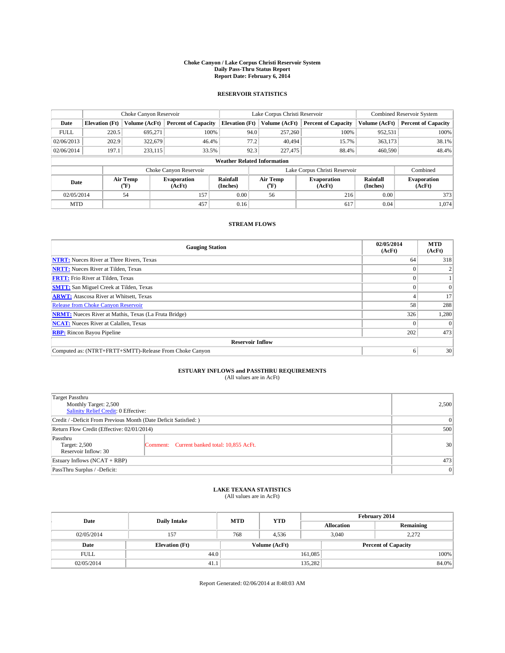#### **Choke Canyon / Lake Corpus Christi Reservoir System Daily Pass-Thru Status Report Report Date: February 6, 2014**

### **RESERVOIR STATISTICS**

|                                                          | Choke Canyon Reservoir |                      |                            |                                    | Lake Corpus Christi Reservoir | <b>Combined Reservoir System</b> |               |                     |
|----------------------------------------------------------|------------------------|----------------------|----------------------------|------------------------------------|-------------------------------|----------------------------------|---------------|---------------------|
| Date                                                     | <b>Elevation</b> (Ft)  | Volume (AcFt)        | <b>Percent of Capacity</b> | <b>Elevation (Ft)</b>              | Volume (AcFt)                 | <b>Percent of Capacity</b>       | Volume (AcFt) | Percent of Capacity |
| <b>FULL</b>                                              | 220.5                  | 695.271              | 100%                       | 94.0                               | 257,260                       | 100%                             | 952,531       | 100%                |
| 02/06/2013                                               | 202.9                  | 322,679              | 46.4%                      | 77.2                               | 40.494                        | 15.7%                            | 363,173       | 38.1%               |
| 02/06/2014                                               | 197.1                  | 233,115              | 33.5%                      | 92.3                               | 227,475                       | 88.4%                            | 460,590       | 48.4%               |
|                                                          |                        |                      |                            | <b>Weather Related Information</b> |                               |                                  |               |                     |
|                                                          |                        |                      | Choke Canyon Reservoir     |                                    |                               | Lake Corpus Christi Reservoir    |               | Combined            |
| Air Temp<br><b>Evaporation</b><br>Date<br>(°F)<br>(AcFt) |                        | Rainfall<br>(Inches) | Air Temp<br>(°F)           | <b>Evaporation</b><br>(AcFt)       | Rainfall<br>(Inches)          | <b>Evaporation</b><br>(AcFt)     |               |                     |
| 02/05/2014                                               |                        | 54                   | 157                        | 0.00                               | 56                            | 216                              | 0.00          | 373                 |
| <b>MTD</b>                                               |                        |                      | 457                        | 0.16                               |                               | 617                              | 0.04          | 1.074               |

### **STREAM FLOWS**

| <b>Gauging Station</b>                                       | 02/05/2014<br>(AcFt) | <b>MTD</b><br>(AcFt) |  |  |  |
|--------------------------------------------------------------|----------------------|----------------------|--|--|--|
| <b>NTRT:</b> Nueces River at Three Rivers, Texas             | 64                   | 318                  |  |  |  |
| <b>NRTT:</b> Nueces River at Tilden, Texas                   |                      |                      |  |  |  |
| <b>FRTT:</b> Frio River at Tilden, Texas                     |                      |                      |  |  |  |
| <b>SMTT:</b> San Miguel Creek at Tilden, Texas               |                      | $\Omega$             |  |  |  |
| <b>ARWT:</b> Atascosa River at Whitsett, Texas               |                      | 17                   |  |  |  |
| <b>Release from Choke Canyon Reservoir</b>                   | 58                   | 288                  |  |  |  |
| <b>NRMT:</b> Nueces River at Mathis, Texas (La Fruta Bridge) | 326                  | 1,280                |  |  |  |
| <b>NCAT:</b> Nueces River at Calallen, Texas                 |                      | $\Omega$             |  |  |  |
| <b>RBP:</b> Rincon Bayou Pipeline                            | 202                  | 473                  |  |  |  |
| <b>Reservoir Inflow</b>                                      |                      |                      |  |  |  |
| Computed as: (NTRT+FRTT+SMTT)-Release From Choke Canyon      | o                    | 30                   |  |  |  |

# **ESTUARY INFLOWS and PASSTHRU REQUIREMENTS**<br>(All values are in AcFt)

| Target Passthru<br>Monthly Target: 2,500<br>Salinity Relief Credit: 0 Effective: | 2,500                                       |                 |  |
|----------------------------------------------------------------------------------|---------------------------------------------|-----------------|--|
| Credit / -Deficit From Previous Month (Date Deficit Satisfied: )                 | 0                                           |                 |  |
| Return Flow Credit (Effective: 02/01/2014)                                       |                                             |                 |  |
| Passthru<br>Target: 2,500<br>Reservoir Inflow: 30                                | Comment: Current banked total: 10,855 AcFt. | 30 <sup>2</sup> |  |
| Estuary Inflows $(NCAT + RBP)$                                                   | 473                                         |                 |  |
| PassThru Surplus / -Deficit:                                                     | 0                                           |                 |  |

# **LAKE TEXANA STATISTICS** (All values are in AcFt)

| Date        | <b>Daily Intake</b>   | <b>MTD</b> | <b>YTD</b>    | February 2014 |                            |           |  |
|-------------|-----------------------|------------|---------------|---------------|----------------------------|-----------|--|
|             |                       |            |               |               | <b>Allocation</b>          | Remaining |  |
| 02/05/2014  | 157                   | 768        | 4,536         |               | 3,040<br>2,272             |           |  |
| Date        | <b>Elevation</b> (Ft) |            | Volume (AcFt) |               | <b>Percent of Capacity</b> |           |  |
| <b>FULL</b> | 44.0                  |            |               | 161,085       |                            | 100%      |  |
| 02/05/2014  | 41.1                  |            |               | 135,282       |                            | 84.0%     |  |

Report Generated: 02/06/2014 at 8:48:03 AM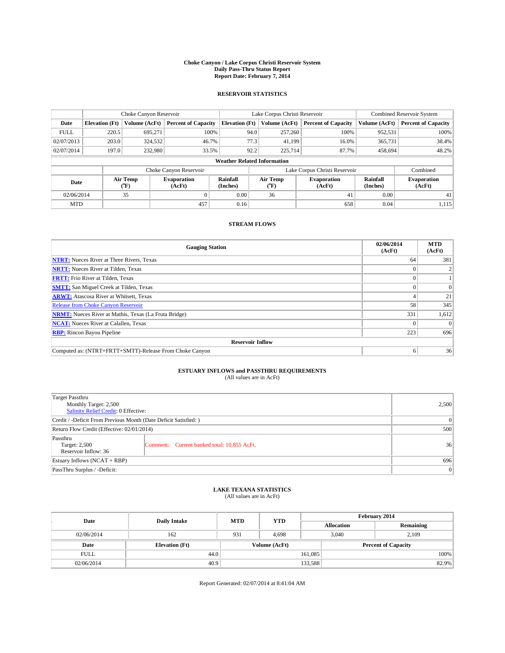#### **Choke Canyon / Lake Corpus Christi Reservoir System Daily Pass-Thru Status Report Report Date: February 7, 2014**

### **RESERVOIR STATISTICS**

|             | Choke Canyon Reservoir             |                  |                              |                       | Lake Corpus Christi Reservoir                    | Combined Reservoir System     |                      |                              |  |
|-------------|------------------------------------|------------------|------------------------------|-----------------------|--------------------------------------------------|-------------------------------|----------------------|------------------------------|--|
| Date        | <b>Elevation</b> (Ft)              | Volume (AcFt)    | <b>Percent of Capacity</b>   | <b>Elevation (Ft)</b> | Volume (AcFt)                                    | <b>Percent of Capacity</b>    | Volume (AcFt)        | <b>Percent of Capacity</b>   |  |
| <b>FULL</b> | 220.5                              | 695.271          | 100%                         | 94.0                  | 257,260                                          | 100%                          | 952,531              | 100%                         |  |
| 02/07/2013  | 203.0                              | 324,532          | 46.7%                        | 77.3                  | 41,199                                           | 16.0%                         | 365,731              | 38.4%                        |  |
| 02/07/2014  | 197.0                              | 232,980          | 33.5%                        | 92.2                  | 225,714                                          | 87.7%                         | 458.694              | 48.2%                        |  |
|             | <b>Weather Related Information</b> |                  |                              |                       |                                                  |                               |                      |                              |  |
|             |                                    |                  | Choke Canyon Reservoir       |                       |                                                  | Lake Corpus Christi Reservoir |                      | Combined                     |  |
| Date        |                                    | Air Temp<br>(°F) | <b>Evaporation</b><br>(AcFt) | Rainfall<br>(Inches)  | Air Temp<br><b>Evaporation</b><br>(AcFt)<br>(°F) |                               | Rainfall<br>(Inches) | <b>Evaporation</b><br>(AcFt) |  |
| 02/06/2014  |                                    | 35               |                              | 0.00                  | 36                                               | 41                            | 0.00                 | 41                           |  |
| <b>MTD</b>  |                                    |                  | 457                          | 0.16                  |                                                  | 658                           | 0.04                 | 1,115                        |  |

### **STREAM FLOWS**

| <b>Gauging Station</b>                                       | 02/06/2014<br>(AcFt) | <b>MTD</b><br>(AcFt) |  |  |  |
|--------------------------------------------------------------|----------------------|----------------------|--|--|--|
| <b>NTRT:</b> Nueces River at Three Rivers, Texas             | 64                   | 381                  |  |  |  |
| <b>NRTT:</b> Nueces River at Tilden, Texas                   |                      |                      |  |  |  |
| <b>FRTT:</b> Frio River at Tilden, Texas                     |                      |                      |  |  |  |
| <b>SMTT:</b> San Miguel Creek at Tilden, Texas               |                      | $\Omega$             |  |  |  |
| <b>ARWT:</b> Atascosa River at Whitsett, Texas               |                      | 21                   |  |  |  |
| <b>Release from Choke Canyon Reservoir</b>                   | 58                   | 345                  |  |  |  |
| <b>NRMT:</b> Nueces River at Mathis, Texas (La Fruta Bridge) | 331                  | 1,612                |  |  |  |
| <b>NCAT:</b> Nueces River at Calallen, Texas                 |                      | $\Omega$             |  |  |  |
| <b>RBP:</b> Rincon Bayou Pipeline                            | 223                  | 696                  |  |  |  |
| <b>Reservoir Inflow</b>                                      |                      |                      |  |  |  |
| Computed as: (NTRT+FRTT+SMTT)-Release From Choke Canyon      |                      | 36                   |  |  |  |

# **ESTUARY INFLOWS and PASSTHRU REQUIREMENTS**<br>(All values are in AcFt)

| Target Passthru                                                  |       |  |  |  |
|------------------------------------------------------------------|-------|--|--|--|
| Monthly Target: 2,500                                            | 2,500 |  |  |  |
| Salinity Relief Credit: 0 Effective:                             |       |  |  |  |
| Credit / -Deficit From Previous Month (Date Deficit Satisfied: ) | 0     |  |  |  |
| Return Flow Credit (Effective: 02/01/2014)                       | 500   |  |  |  |
| Passthru                                                         |       |  |  |  |
| Target: 2,500<br>Comment: Current banked total: 10,855 AcFt.     | 36    |  |  |  |
| Reservoir Inflow: 36                                             |       |  |  |  |
| Estuary Inflows (NCAT + RBP)                                     | 696   |  |  |  |
| PassThru Surplus / -Deficit:                                     | 0     |  |  |  |

# **LAKE TEXANA STATISTICS** (All values are in AcFt)

| Date        | <b>Daily Intake</b>   | <b>MTD</b> | <b>YTD</b>    | February 2014 |                            |           |  |
|-------------|-----------------------|------------|---------------|---------------|----------------------------|-----------|--|
|             |                       |            |               |               | <b>Allocation</b>          | Remaining |  |
| 02/06/2014  | 162                   | 931        | 4,698         |               | 3,040                      | 2,109     |  |
| Date        | <b>Elevation</b> (Ft) |            | Volume (AcFt) |               | <b>Percent of Capacity</b> |           |  |
| <b>FULL</b> | 44.0                  |            |               | 161,085       |                            | 100%      |  |
| 02/06/2014  | 40.9                  |            |               | 133,588       |                            | 82.9%     |  |

Report Generated: 02/07/2014 at 8:41:04 AM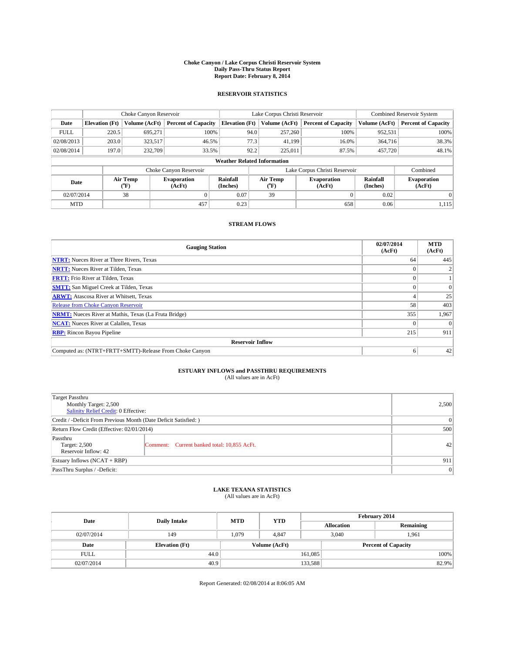#### **Choke Canyon / Lake Corpus Christi Reservoir System Daily Pass-Thru Status Report Report Date: February 8, 2014**

### **RESERVOIR STATISTICS**

|             | Choke Canyon Reservoir             |                  |                              |                                                                          | Lake Corpus Christi Reservoir | <b>Combined Reservoir System</b> |                      |                              |  |
|-------------|------------------------------------|------------------|------------------------------|--------------------------------------------------------------------------|-------------------------------|----------------------------------|----------------------|------------------------------|--|
| Date        | <b>Elevation</b> (Ft)              | Volume (AcFt)    | <b>Percent of Capacity</b>   | <b>Elevation (Ft)</b>                                                    | Volume (AcFt)                 | <b>Percent of Capacity</b>       | Volume (AcFt)        | Percent of Capacity          |  |
| <b>FULL</b> | 220.5                              | 695.271          | 100%                         | 94.0                                                                     | 257,260                       | 100%                             | 952,531              | 100%                         |  |
| 02/08/2013  | 203.0                              | 323,517          | 46.5%                        | 77.3                                                                     | 41,199                        | 16.0%                            | 364,716              | 38.3%                        |  |
| 02/08/2014  | 197.0                              | 232,709          | 33.5%                        | 92.2                                                                     | 225,011                       | 87.5%                            | 457,720              | 48.1%                        |  |
|             | <b>Weather Related Information</b> |                  |                              |                                                                          |                               |                                  |                      |                              |  |
|             |                                    |                  | Choke Canyon Reservoir       |                                                                          |                               | Lake Corpus Christi Reservoir    |                      | Combined                     |  |
| Date        |                                    | Air Temp<br>(°F) | <b>Evaporation</b><br>(AcFt) | Rainfall<br>Air Temp<br><b>Evaporation</b><br>(Inches)<br>(AcFt)<br>("F) |                               |                                  | Rainfall<br>(Inches) | <b>Evaporation</b><br>(AcFt) |  |
| 02/07/2014  |                                    | 38               |                              | 0.07                                                                     | 39                            |                                  | 0.02                 |                              |  |
| <b>MTD</b>  |                                    |                  | 457                          | 0.23                                                                     |                               | 658                              | 0.06                 | 1,115                        |  |

### **STREAM FLOWS**

| <b>Gauging Station</b>                                       | 02/07/2014<br>(AcFt) | <b>MTD</b><br>(AcFt) |  |  |  |  |
|--------------------------------------------------------------|----------------------|----------------------|--|--|--|--|
| <b>NTRT:</b> Nueces River at Three Rivers, Texas             | 64                   | 445                  |  |  |  |  |
| <b>NRTT:</b> Nueces River at Tilden, Texas                   |                      |                      |  |  |  |  |
| <b>FRTT:</b> Frio River at Tilden, Texas                     |                      |                      |  |  |  |  |
| <b>SMTT:</b> San Miguel Creek at Tilden, Texas               |                      | $\Omega$             |  |  |  |  |
| <b>ARWT:</b> Atascosa River at Whitsett, Texas               |                      | 25                   |  |  |  |  |
| <b>Release from Choke Canyon Reservoir</b>                   | 58                   | 403                  |  |  |  |  |
| <b>NRMT:</b> Nueces River at Mathis, Texas (La Fruta Bridge) | 355                  | 1,967                |  |  |  |  |
| <b>NCAT:</b> Nueces River at Calallen, Texas                 |                      | $\Omega$             |  |  |  |  |
| <b>RBP:</b> Rincon Bayou Pipeline                            | 215                  | 911                  |  |  |  |  |
| <b>Reservoir Inflow</b>                                      |                      |                      |  |  |  |  |
| Computed as: (NTRT+FRTT+SMTT)-Release From Choke Canyon      |                      | 42                   |  |  |  |  |

# **ESTUARY INFLOWS and PASSTHRU REQUIREMENTS**<br>(All values are in AcFt)

| Target Passthru                                                  |                                             |    |  |  |
|------------------------------------------------------------------|---------------------------------------------|----|--|--|
| Monthly Target: 2,500                                            | 2,500                                       |    |  |  |
| Salinity Relief Credit: 0 Effective:                             |                                             |    |  |  |
| Credit / -Deficit From Previous Month (Date Deficit Satisfied: ) | 0                                           |    |  |  |
| Return Flow Credit (Effective: 02/01/2014)                       |                                             |    |  |  |
| Passthru<br>Target: 2,500                                        | Comment: Current banked total: 10,855 AcFt. | 42 |  |  |
| Reservoir Inflow: 42                                             |                                             |    |  |  |
| Estuary Inflows (NCAT + RBP)                                     |                                             |    |  |  |
| PassThru Surplus / -Deficit:                                     | 0                                           |    |  |  |

# **LAKE TEXANA STATISTICS** (All values are in AcFt)

| Date        |                       | <b>MTD</b>    | <b>YTD</b> | February 2014 |                            |           |  |
|-------------|-----------------------|---------------|------------|---------------|----------------------------|-----------|--|
|             | <b>Daily Intake</b>   |               |            |               | <b>Allocation</b>          | Remaining |  |
| 02/07/2014  | 149                   | 1,079         | 4.847      |               | 3,040<br>1,961             |           |  |
| Date        | <b>Elevation</b> (Ft) | Volume (AcFt) |            |               | <b>Percent of Capacity</b> |           |  |
| <b>FULL</b> | 44.0                  |               |            | 161,085       |                            | 100%      |  |
| 02/07/2014  | 40.9                  |               |            | 133,588       |                            | 82.9%     |  |

Report Generated: 02/08/2014 at 8:06:05 AM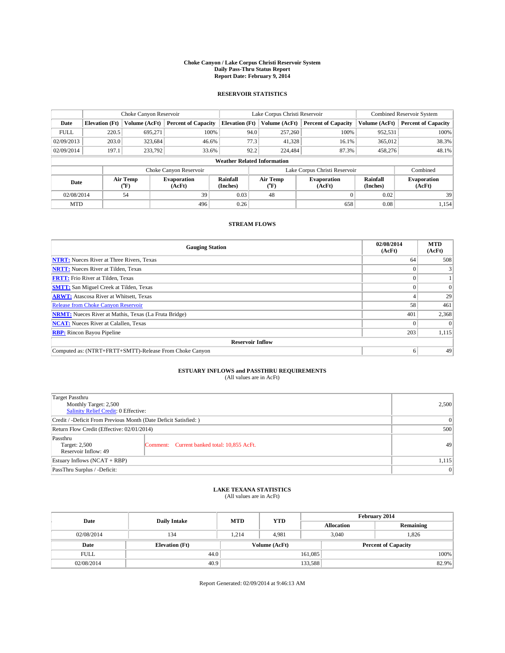#### **Choke Canyon / Lake Corpus Christi Reservoir System Daily Pass-Thru Status Report Report Date: February 9, 2014**

### **RESERVOIR STATISTICS**

|             | Choke Canyon Reservoir             |                  |                              |                       | Lake Corpus Christi Reservoir                    | <b>Combined Reservoir System</b> |                      |                              |  |
|-------------|------------------------------------|------------------|------------------------------|-----------------------|--------------------------------------------------|----------------------------------|----------------------|------------------------------|--|
| Date        | <b>Elevation</b> (Ft)              | Volume (AcFt)    | <b>Percent of Capacity</b>   | <b>Elevation (Ft)</b> | Volume (AcFt)<br><b>Percent of Capacity</b>      |                                  | Volume (AcFt)        | Percent of Capacity          |  |
| <b>FULL</b> | 220.5                              | 695.271          | 100%                         | 94.0                  | 257,260                                          | 100%                             | 952,531              | 100%                         |  |
| 02/09/2013  | 203.0                              | 323,684          | 46.6%                        | 77.3                  | 41,328                                           | 16.1%                            | 365,012              | 38.3%                        |  |
| 02/09/2014  | 197.1                              | 233,792          | 33.6%                        | 92.2                  | 224.484                                          | 87.3%                            | 458,276              | 48.1%                        |  |
|             | <b>Weather Related Information</b> |                  |                              |                       |                                                  |                                  |                      |                              |  |
|             |                                    |                  | Choke Canyon Reservoir       |                       |                                                  | Lake Corpus Christi Reservoir    |                      | Combined                     |  |
| Date        |                                    | Air Temp<br>(°F) | <b>Evaporation</b><br>(AcFt) | Rainfall<br>(Inches)  | Air Temp<br><b>Evaporation</b><br>(AcFt)<br>(°F) |                                  | Rainfall<br>(Inches) | <b>Evaporation</b><br>(AcFt) |  |
| 02/08/2014  |                                    | 54               | 39                           | 0.03                  | 48                                               |                                  | 0.02                 | 39                           |  |
| <b>MTD</b>  |                                    |                  | 496                          | 0.26                  |                                                  | 658                              | 0.08                 | 1,154                        |  |

### **STREAM FLOWS**

| <b>Gauging Station</b>                                       | 02/08/2014<br>(AcFt) | <b>MTD</b><br>(AcFt) |  |  |  |
|--------------------------------------------------------------|----------------------|----------------------|--|--|--|
| <b>NTRT:</b> Nueces River at Three Rivers, Texas             | 64                   | 508                  |  |  |  |
| <b>NRTT:</b> Nueces River at Tilden, Texas                   |                      |                      |  |  |  |
| <b>FRTT:</b> Frio River at Tilden, Texas                     |                      |                      |  |  |  |
| <b>SMTT:</b> San Miguel Creek at Tilden, Texas               |                      | $\Omega$             |  |  |  |
| <b>ARWT:</b> Atascosa River at Whitsett, Texas               |                      | 29                   |  |  |  |
| <b>Release from Choke Canyon Reservoir</b>                   | 58                   | 461                  |  |  |  |
| <b>NRMT:</b> Nueces River at Mathis, Texas (La Fruta Bridge) | 401                  | 2,368                |  |  |  |
| <b>NCAT:</b> Nueces River at Calallen, Texas                 |                      | $\Omega$             |  |  |  |
| <b>RBP:</b> Rincon Bayou Pipeline                            | 203                  | 1,115                |  |  |  |
| <b>Reservoir Inflow</b>                                      |                      |                      |  |  |  |
| Computed as: (NTRT+FRTT+SMTT)-Release From Choke Canyon      | o                    | 49                   |  |  |  |

# **ESTUARY INFLOWS and PASSTHRU REQUIREMENTS**<br>(All values are in AcFt)

| Target Passthru                                                  |                                             |    |  |  |
|------------------------------------------------------------------|---------------------------------------------|----|--|--|
| Monthly Target: 2,500                                            | 2,500                                       |    |  |  |
| Salinity Relief Credit: 0 Effective:                             |                                             |    |  |  |
| Credit / -Deficit From Previous Month (Date Deficit Satisfied: ) | 0                                           |    |  |  |
| Return Flow Credit (Effective: 02/01/2014)                       | 500                                         |    |  |  |
| Passthru                                                         |                                             |    |  |  |
| Target: 2,500                                                    | Comment: Current banked total: 10,855 AcFt. | 49 |  |  |
| Reservoir Inflow: 49                                             |                                             |    |  |  |
| Estuary Inflows (NCAT + RBP)                                     | 1,115                                       |    |  |  |
| PassThru Surplus / -Deficit:                                     | 0                                           |    |  |  |

# **LAKE TEXANA STATISTICS** (All values are in AcFt)

| Date        | <b>Daily Intake</b>   | <b>MTD</b> | <b>YTD</b>    | February 2014 |                            |           |  |
|-------------|-----------------------|------------|---------------|---------------|----------------------------|-----------|--|
|             |                       |            |               |               | <b>Allocation</b>          | Remaining |  |
| 02/08/2014  | 134                   | 1,214      | 4,981         |               | 3,040                      | 1,826     |  |
| Date        | <b>Elevation</b> (Ft) |            | Volume (AcFt) |               | <b>Percent of Capacity</b> |           |  |
| <b>FULL</b> | 44.0                  |            |               | 161,085       |                            | 100%      |  |
| 02/08/2014  | 40.9                  |            |               | 133,588       |                            | 82.9%     |  |

Report Generated: 02/09/2014 at 9:46:13 AM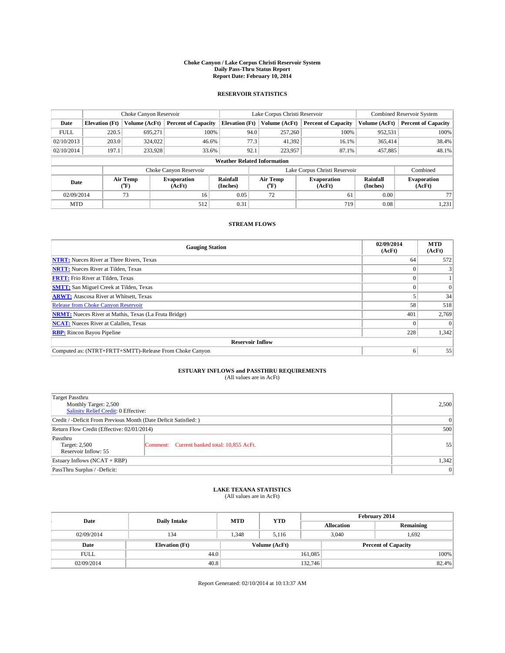#### **Choke Canyon / Lake Corpus Christi Reservoir System Daily Pass-Thru Status Report Report Date: February 10, 2014**

### **RESERVOIR STATISTICS**

|             |                                    | Choke Canyon Reservoir |                              |                       | Lake Corpus Christi Reservoir | <b>Combined Reservoir System</b> |                      |                              |  |
|-------------|------------------------------------|------------------------|------------------------------|-----------------------|-------------------------------|----------------------------------|----------------------|------------------------------|--|
| Date        | <b>Elevation</b> (Ft)              | Volume (AcFt)          | <b>Percent of Capacity</b>   | <b>Elevation (Ft)</b> | Volume (AcFt)                 | <b>Percent of Capacity</b>       | Volume (AcFt)        | <b>Percent of Capacity</b>   |  |
| <b>FULL</b> | 220.5                              | 695.271                | 100%                         | 94.0                  | 257,260                       | 100%                             | 952,531              | 100%                         |  |
| 02/10/2013  | 203.0                              | 324,022                | 46.6%                        | 77.3                  | 41,392                        | 16.1%                            | 365,414              | 38.4%                        |  |
| 02/10/2014  | 197.1                              | 233,928                | 33.6%                        | 92.1                  | 223,957                       | 87.1%                            | 457,885              | 48.1%                        |  |
|             | <b>Weather Related Information</b> |                        |                              |                       |                               |                                  |                      |                              |  |
|             |                                    |                        | Choke Canyon Reservoir       |                       |                               | Lake Corpus Christi Reservoir    |                      | Combined                     |  |
| Date        |                                    | Air Temp<br>(°F)       | <b>Evaporation</b><br>(AcFt) | Rainfall<br>(Inches)  | Air Temp<br>$(^{0}F)$         | <b>Evaporation</b><br>(AcFt)     | Rainfall<br>(Inches) | <b>Evaporation</b><br>(AcFt) |  |
| 02/09/2014  |                                    | 73                     | 16                           | 0.05                  | 72                            | 61                               | 0.00                 | 77                           |  |
| <b>MTD</b>  |                                    |                        | 512                          | 0.31                  |                               | 719                              | 0.08                 | 1,231                        |  |

### **STREAM FLOWS**

| <b>Gauging Station</b>                                       | 02/09/2014<br>(AcFt) | <b>MTD</b><br>(AcFt) |  |  |  |  |
|--------------------------------------------------------------|----------------------|----------------------|--|--|--|--|
| <b>NTRT:</b> Nueces River at Three Rivers, Texas             | 64                   | 572                  |  |  |  |  |
| <b>NRTT:</b> Nueces River at Tilden, Texas                   |                      |                      |  |  |  |  |
| <b>FRTT:</b> Frio River at Tilden, Texas                     |                      |                      |  |  |  |  |
| <b>SMTT:</b> San Miguel Creek at Tilden, Texas               |                      | $\Omega$             |  |  |  |  |
| <b>ARWT:</b> Atascosa River at Whitsett, Texas               |                      | 34                   |  |  |  |  |
| <b>Release from Choke Canyon Reservoir</b>                   | 58                   | 518                  |  |  |  |  |
| <b>NRMT:</b> Nueces River at Mathis, Texas (La Fruta Bridge) | 401                  | 2,769                |  |  |  |  |
| <b>NCAT:</b> Nueces River at Calallen, Texas                 |                      | $\Omega$             |  |  |  |  |
| <b>RBP:</b> Rincon Bayou Pipeline                            | 228                  | 1,342                |  |  |  |  |
| <b>Reservoir Inflow</b>                                      |                      |                      |  |  |  |  |
| Computed as: (NTRT+FRTT+SMTT)-Release From Choke Canyon      | 6                    | 55                   |  |  |  |  |

# **ESTUARY INFLOWS and PASSTHRU REQUIREMENTS**<br>(All values are in AcFt)

| Target Passthru                                                  |                                             |    |  |  |
|------------------------------------------------------------------|---------------------------------------------|----|--|--|
| Monthly Target: 2,500                                            | 2,500                                       |    |  |  |
| Salinity Relief Credit: 0 Effective:                             |                                             |    |  |  |
| Credit / -Deficit From Previous Month (Date Deficit Satisfied: ) | 0                                           |    |  |  |
| Return Flow Credit (Effective: 02/01/2014)                       | 500                                         |    |  |  |
| Passthru                                                         |                                             |    |  |  |
| Target: 2,500<br>Reservoir Inflow: 55                            | Comment: Current banked total: 10,855 AcFt. | 55 |  |  |
|                                                                  |                                             |    |  |  |
| Estuary Inflows (NCAT + RBP)                                     | 1,342                                       |    |  |  |
| PassThru Surplus / -Deficit:                                     | 0                                           |    |  |  |

# **LAKE TEXANA STATISTICS** (All values are in AcFt)

| Date        | <b>Daily Intake</b>   | <b>MTD</b>    | <b>YTD</b> | February 2014 |                            |           |  |
|-------------|-----------------------|---------------|------------|---------------|----------------------------|-----------|--|
|             |                       |               |            |               | <b>Allocation</b>          | Remaining |  |
| 02/09/2014  | 134                   | 1.348         | 5.116      |               | 3.040<br>1.692             |           |  |
| Date        | <b>Elevation</b> (Ft) | Volume (AcFt) |            |               | <b>Percent of Capacity</b> |           |  |
| <b>FULL</b> | 44.0                  |               |            | 161,085       |                            | 100%      |  |
| 02/09/2014  | 40.8                  |               |            | 132,746       |                            | 82.4%     |  |

Report Generated: 02/10/2014 at 10:13:37 AM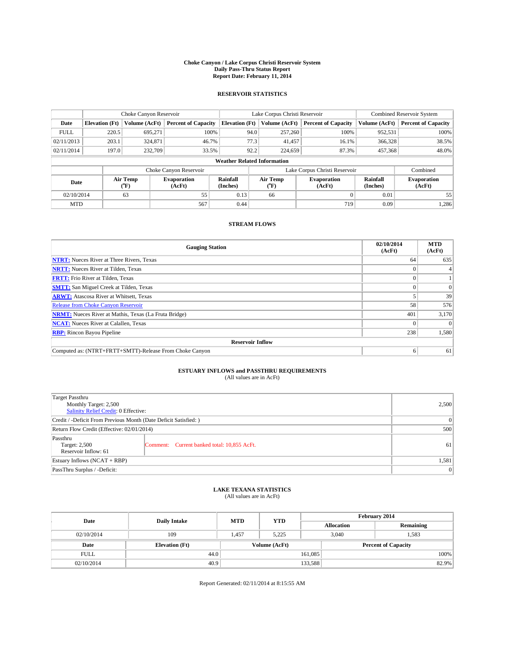#### **Choke Canyon / Lake Corpus Christi Reservoir System Daily Pass-Thru Status Report Report Date: February 11, 2014**

### **RESERVOIR STATISTICS**

|             |                                    | Choke Canyon Reservoir |                              |                       | Lake Corpus Christi Reservoir                    | Combined Reservoir System     |                      |                              |  |
|-------------|------------------------------------|------------------------|------------------------------|-----------------------|--------------------------------------------------|-------------------------------|----------------------|------------------------------|--|
| Date        | <b>Elevation</b> (Ft)              | Volume (AcFt)          | <b>Percent of Capacity</b>   | <b>Elevation (Ft)</b> | Volume (AcFt)                                    | <b>Percent of Capacity</b>    | Volume (AcFt)        | <b>Percent of Capacity</b>   |  |
| <b>FULL</b> | 220.5                              | 695.271                | 100%                         | 94.0                  | 257,260                                          | 100%                          | 952,531              | 100%                         |  |
| 02/11/2013  | 203.1                              | 324,871                | 46.7%                        | 77.3                  | 41,457                                           | 16.1%                         | 366,328              | 38.5%                        |  |
| 02/11/2014  | 197.0                              | 232,709                | 33.5%                        | 92.2                  | 224,659                                          | 87.3%                         | 457,368              | 48.0%                        |  |
|             | <b>Weather Related Information</b> |                        |                              |                       |                                                  |                               |                      |                              |  |
|             |                                    |                        | Choke Canyon Reservoir       |                       |                                                  | Lake Corpus Christi Reservoir |                      | Combined                     |  |
| Date        |                                    | Air Temp<br>(°F)       | <b>Evaporation</b><br>(AcFt) | Rainfall<br>(Inches)  | Air Temp<br><b>Evaporation</b><br>(AcFt)<br>(°F) |                               | Rainfall<br>(Inches) | <b>Evaporation</b><br>(AcFt) |  |
| 02/10/2014  |                                    | 63                     | 55                           | 0.13                  | 66                                               |                               | 0.01                 | 55                           |  |
| <b>MTD</b>  |                                    |                        | 567                          | 0.44                  |                                                  | 719                           | 0.09                 | 1,286                        |  |

### **STREAM FLOWS**

| <b>Gauging Station</b>                                       | 02/10/2014<br>(AcFt) | <b>MTD</b><br>(AcFt) |  |  |  |  |
|--------------------------------------------------------------|----------------------|----------------------|--|--|--|--|
| <b>NTRT:</b> Nueces River at Three Rivers, Texas             | 64                   | 635                  |  |  |  |  |
| <b>NRTT:</b> Nueces River at Tilden, Texas                   |                      |                      |  |  |  |  |
| <b>FRTT:</b> Frio River at Tilden, Texas                     | 0                    |                      |  |  |  |  |
| <b>SMTT:</b> San Miguel Creek at Tilden, Texas               |                      | $\Omega$             |  |  |  |  |
| <b>ARWT:</b> Atascosa River at Whitsett, Texas               |                      | 39                   |  |  |  |  |
| <b>Release from Choke Canyon Reservoir</b>                   | 58                   | 576                  |  |  |  |  |
| <b>NRMT:</b> Nueces River at Mathis, Texas (La Fruta Bridge) | 401                  | 3,170                |  |  |  |  |
| <b>NCAT:</b> Nueces River at Calallen, Texas                 |                      | $\Omega$             |  |  |  |  |
| <b>RBP:</b> Rincon Bayou Pipeline                            | 238                  | 1,580                |  |  |  |  |
| <b>Reservoir Inflow</b>                                      |                      |                      |  |  |  |  |
| Computed as: (NTRT+FRTT+SMTT)-Release From Choke Canyon      | 6                    | 61                   |  |  |  |  |

# **ESTUARY INFLOWS and PASSTHRU REQUIREMENTS**<br>(All values are in AcFt)

| Target Passthru                                                  |                                             |    |  |  |
|------------------------------------------------------------------|---------------------------------------------|----|--|--|
| Monthly Target: 2,500                                            | 2,500                                       |    |  |  |
| Salinity Relief Credit: 0 Effective:                             |                                             |    |  |  |
| Credit / -Deficit From Previous Month (Date Deficit Satisfied: ) | 0                                           |    |  |  |
| Return Flow Credit (Effective: 02/01/2014)                       | 500                                         |    |  |  |
| Passthru                                                         |                                             |    |  |  |
| Target: 2,500                                                    | Comment: Current banked total: 10,855 AcFt. | 61 |  |  |
| Reservoir Inflow: 61                                             |                                             |    |  |  |
| Estuary Inflows (NCAT + RBP)                                     | 1,581                                       |    |  |  |
| PassThru Surplus / -Deficit:                                     | 0                                           |    |  |  |

# **LAKE TEXANA STATISTICS** (All values are in AcFt)

| Date        | <b>Daily Intake</b>   | <b>MTD</b> | <b>YTD</b>    | February 2014 |                            |           |  |
|-------------|-----------------------|------------|---------------|---------------|----------------------------|-----------|--|
|             |                       |            |               |               | <b>Allocation</b>          | Remaining |  |
| 02/10/2014  | 109                   | 1,457      | 5.225         |               | 1,583<br>3,040             |           |  |
| Date        | <b>Elevation</b> (Ft) |            | Volume (AcFt) |               | <b>Percent of Capacity</b> |           |  |
| <b>FULL</b> | 44.0                  |            |               | 161,085       |                            | 100%      |  |
| 02/10/2014  | 40.9                  |            |               | 133,588       |                            | 82.9%     |  |

Report Generated: 02/11/2014 at 8:15:55 AM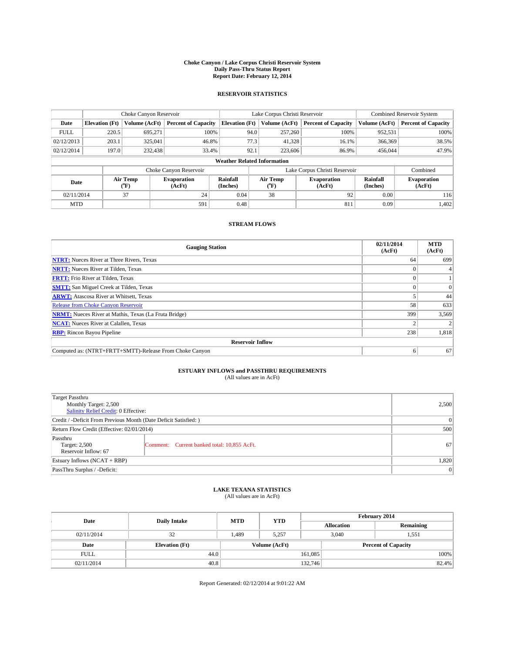#### **Choke Canyon / Lake Corpus Christi Reservoir System Daily Pass-Thru Status Report Report Date: February 12, 2014**

### **RESERVOIR STATISTICS**

|             |                                    | Choke Canyon Reservoir |                              |                       | Lake Corpus Christi Reservoir | <b>Combined Reservoir System</b> |                      |                              |  |
|-------------|------------------------------------|------------------------|------------------------------|-----------------------|-------------------------------|----------------------------------|----------------------|------------------------------|--|
| Date        | <b>Elevation</b> (Ft)              | Volume (AcFt)          | <b>Percent of Capacity</b>   | <b>Elevation (Ft)</b> | Volume (AcFt)                 | <b>Percent of Capacity</b>       | Volume (AcFt)        | <b>Percent of Capacity</b>   |  |
| <b>FULL</b> | 220.5                              | 695,271                | 100%                         | 94.0                  | 257,260                       | 100%                             | 952,531              | 100%                         |  |
| 02/12/2013  | 203.1                              | 325,041                | 46.8%                        | 77.3                  | 41,328                        | 16.1%                            | 366,369              | 38.5%                        |  |
| 02/12/2014  | 197.0                              | 232,438                | 33.4%                        | 92.1                  | 223,606                       | 86.9%                            | 456,044              | 47.9%                        |  |
|             | <b>Weather Related Information</b> |                        |                              |                       |                               |                                  |                      |                              |  |
|             |                                    |                        | Choke Canyon Reservoir       |                       |                               | Lake Corpus Christi Reservoir    |                      | Combined                     |  |
| Date        | Air Temp<br>(°F)                   |                        | <b>Evaporation</b><br>(AcFt) | Rainfall<br>(Inches)  | Air Temp<br>(°F)              | <b>Evaporation</b><br>(AcFt)     | Rainfall<br>(Inches) | <b>Evaporation</b><br>(AcFt) |  |
| 02/11/2014  |                                    | 37                     | 24                           | 0.04                  | 38                            | 92                               | 0.00                 | 116                          |  |
| <b>MTD</b>  |                                    |                        | 591                          | 0.48                  |                               | 811                              | 0.09                 | 1,402                        |  |

### **STREAM FLOWS**

| <b>Gauging Station</b>                                       | 02/11/2014<br>(AcFt) | <b>MTD</b><br>(AcFt) |  |  |  |  |
|--------------------------------------------------------------|----------------------|----------------------|--|--|--|--|
| <b>NTRT:</b> Nueces River at Three Rivers, Texas             | 64                   | 699                  |  |  |  |  |
| <b>NRTT:</b> Nueces River at Tilden, Texas                   |                      |                      |  |  |  |  |
| <b>FRTT:</b> Frio River at Tilden, Texas                     |                      |                      |  |  |  |  |
| <b>SMTT:</b> San Miguel Creek at Tilden, Texas               |                      | $\Omega$             |  |  |  |  |
| <b>ARWT:</b> Atascosa River at Whitsett, Texas               |                      | 44                   |  |  |  |  |
| <b>Release from Choke Canyon Reservoir</b>                   | 58                   | 633                  |  |  |  |  |
| <b>NRMT:</b> Nueces River at Mathis, Texas (La Fruta Bridge) | 399                  | 3,569                |  |  |  |  |
| <b>NCAT:</b> Nueces River at Calallen, Texas                 |                      |                      |  |  |  |  |
| <b>RBP:</b> Rincon Bayou Pipeline                            | 238                  | 1,818                |  |  |  |  |
| <b>Reservoir Inflow</b>                                      |                      |                      |  |  |  |  |
| Computed as: (NTRT+FRTT+SMTT)-Release From Choke Canyon      | 6                    | 67                   |  |  |  |  |

# **ESTUARY INFLOWS and PASSTHRU REQUIREMENTS**<br>(All values are in AcFt)

| Target Passthru                                                  |                                             |               |  |  |
|------------------------------------------------------------------|---------------------------------------------|---------------|--|--|
| Monthly Target: 2,500                                            | 2,500                                       |               |  |  |
| Salinity Relief Credit: 0 Effective:                             |                                             |               |  |  |
| Credit / -Deficit From Previous Month (Date Deficit Satisfied: ) |                                             |               |  |  |
| Return Flow Credit (Effective: 02/01/2014)                       |                                             |               |  |  |
| Passthru                                                         |                                             |               |  |  |
| Target: 2,500                                                    | Comment: Current banked total: 10,855 AcFt. | <sup>67</sup> |  |  |
| Reservoir Inflow: 67                                             |                                             |               |  |  |
| Estuary Inflows (NCAT + RBP)                                     |                                             |               |  |  |
| PassThru Surplus / -Deficit:                                     | 0                                           |               |  |  |

# **LAKE TEXANA STATISTICS** (All values are in AcFt)

| Date        | <b>Daily Intake</b>   | <b>MTD</b> | <b>YTD</b>    | February 2014 |                            |           |  |
|-------------|-----------------------|------------|---------------|---------------|----------------------------|-----------|--|
|             |                       |            |               |               | <b>Allocation</b>          | Remaining |  |
| 02/11/2014  | 32                    | 1,489      | 5,257         |               | 3,040<br>1,551             |           |  |
| Date        | <b>Elevation</b> (Ft) |            | Volume (AcFt) |               | <b>Percent of Capacity</b> |           |  |
| <b>FULL</b> | 44.0                  |            |               | 161,085       |                            | 100%      |  |
| 02/11/2014  | 40.8                  |            |               | 132,746       |                            | 82.4%     |  |

Report Generated: 02/12/2014 at 9:01:22 AM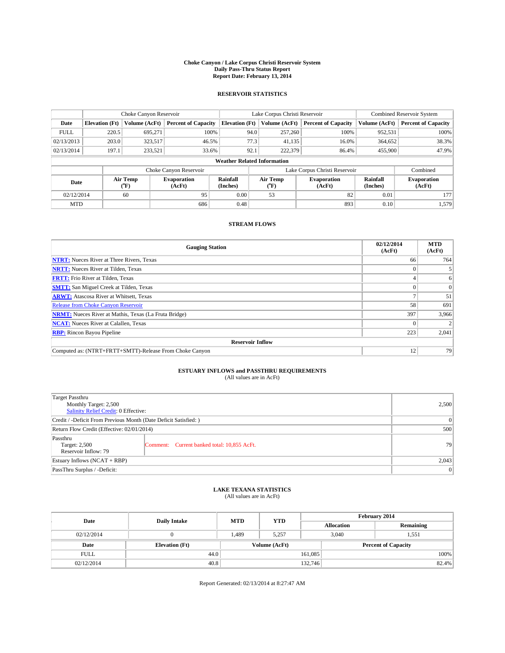#### **Choke Canyon / Lake Corpus Christi Reservoir System Daily Pass-Thru Status Report Report Date: February 13, 2014**

### **RESERVOIR STATISTICS**

|             |                                    | Choke Canyon Reservoir |                              |                       | Lake Corpus Christi Reservoir | <b>Combined Reservoir System</b> |               |                              |  |
|-------------|------------------------------------|------------------------|------------------------------|-----------------------|-------------------------------|----------------------------------|---------------|------------------------------|--|
| Date        | <b>Elevation</b> (Ft)              | Volume (AcFt)          | <b>Percent of Capacity</b>   | <b>Elevation (Ft)</b> | Volume (AcFt)                 | <b>Percent of Capacity</b>       | Volume (AcFt) | <b>Percent of Capacity</b>   |  |
| <b>FULL</b> | 220.5                              | 695,271                | 100%                         | 94.0                  | 257,260                       | 100%                             | 952,531       | 100%                         |  |
| 02/13/2013  | 203.0                              | 323,517                | 46.5%                        | 77.3                  | 41,135                        | 16.0%                            | 364,652       | 38.3%                        |  |
| 02/13/2014  | 197.1                              | 233,521                | 33.6%                        | 92.1                  | 222,379                       | 86.4%                            | 455,900       | 47.9%                        |  |
|             | <b>Weather Related Information</b> |                        |                              |                       |                               |                                  |               |                              |  |
|             |                                    |                        | Choke Canyon Reservoir       |                       | Lake Corpus Christi Reservoir |                                  | Combined      |                              |  |
| Date        |                                    | Air Temp<br>(°F)       | <b>Evaporation</b><br>(AcFt) | Rainfall<br>(Inches)  | Air Temp<br>(°F)              | <b>Evaporation</b><br>(AcFt)     |               | <b>Evaporation</b><br>(AcFt) |  |
| 02/12/2014  |                                    | 60                     | 95                           | 0.00                  | 53                            |                                  | 0.01          | 177                          |  |
| <b>MTD</b>  |                                    |                        | 686                          | 0.48                  |                               | 893                              | 0.10          | 1,579                        |  |

### **STREAM FLOWS**

| <b>Gauging Station</b>                                       | 02/12/2014<br>(AcFt) | <b>MTD</b><br>(AcFt) |  |  |  |  |  |
|--------------------------------------------------------------|----------------------|----------------------|--|--|--|--|--|
| <b>NTRT:</b> Nueces River at Three Rivers, Texas             | 66                   | 764                  |  |  |  |  |  |
| <b>NRTT:</b> Nueces River at Tilden, Texas                   |                      |                      |  |  |  |  |  |
| <b>FRTT:</b> Frio River at Tilden, Texas                     |                      | 6                    |  |  |  |  |  |
| <b>SMTT:</b> San Miguel Creek at Tilden, Texas               |                      | $\Omega$             |  |  |  |  |  |
| <b>ARWT:</b> Atascosa River at Whitsett, Texas               |                      | 51                   |  |  |  |  |  |
| <b>Release from Choke Canyon Reservoir</b>                   | 58                   | 691                  |  |  |  |  |  |
| <b>NRMT:</b> Nueces River at Mathis, Texas (La Fruta Bridge) | 397                  | 3,966                |  |  |  |  |  |
| <b>NCAT:</b> Nueces River at Calallen, Texas                 |                      |                      |  |  |  |  |  |
| <b>RBP:</b> Rincon Bayou Pipeline                            | 223                  | 2,041                |  |  |  |  |  |
| <b>Reservoir Inflow</b>                                      |                      |                      |  |  |  |  |  |
| Computed as: (NTRT+FRTT+SMTT)-Release From Choke Canyon      | 12                   | 79                   |  |  |  |  |  |

# **ESTUARY INFLOWS and PASSTHRU REQUIREMENTS**<br>(All values are in AcFt)

| <b>Target Passthru</b><br>Monthly Target: 2,500<br>Salinity Relief Credit: 0 Effective: | 2,500                                       |    |  |  |
|-----------------------------------------------------------------------------------------|---------------------------------------------|----|--|--|
| Credit / -Deficit From Previous Month (Date Deficit Satisfied: )                        |                                             |    |  |  |
| Return Flow Credit (Effective: 02/01/2014)                                              |                                             |    |  |  |
| Passthru<br>Target: 2,500<br>Reservoir Inflow: 79                                       | Comment: Current banked total: 10,855 AcFt. | 79 |  |  |
| Estuary Inflows (NCAT + RBP)                                                            | 2,043                                       |    |  |  |
| PassThru Surplus / -Deficit:                                                            | 0                                           |    |  |  |

# **LAKE TEXANA STATISTICS** (All values are in AcFt)

| Date        | <b>Daily Intake</b>   | <b>MTD</b>    | <b>YTD</b> | February 2014 |                            |           |  |
|-------------|-----------------------|---------------|------------|---------------|----------------------------|-----------|--|
|             |                       |               |            |               | <b>Allocation</b>          | Remaining |  |
| 02/12/2014  |                       | 1.489         | 5.257      |               | 3.040<br>1,551             |           |  |
| Date        | <b>Elevation</b> (Ft) | Volume (AcFt) |            |               | <b>Percent of Capacity</b> |           |  |
| <b>FULL</b> | 44.0                  |               |            | 161,085       |                            | 100%      |  |
| 02/12/2014  | 40.8                  |               |            | 132,746       |                            | 82.4%     |  |

Report Generated: 02/13/2014 at 8:27:47 AM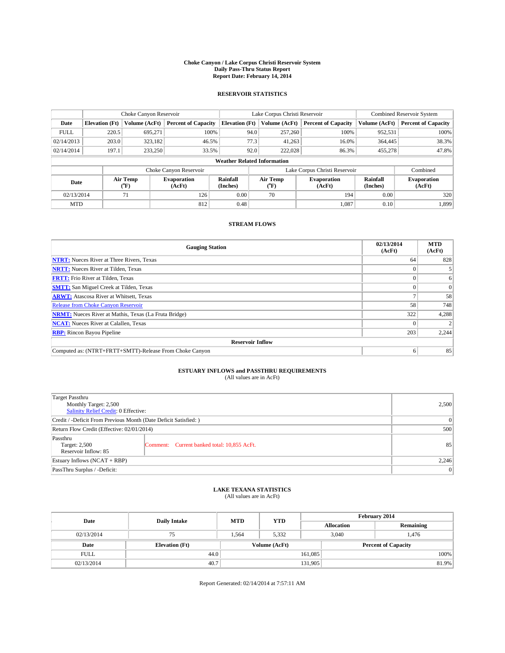#### **Choke Canyon / Lake Corpus Christi Reservoir System Daily Pass-Thru Status Report Report Date: February 14, 2014**

### **RESERVOIR STATISTICS**

|             |                                    | Choke Canyon Reservoir |                              |                       | Lake Corpus Christi Reservoir | <b>Combined Reservoir System</b> |                      |                              |  |
|-------------|------------------------------------|------------------------|------------------------------|-----------------------|-------------------------------|----------------------------------|----------------------|------------------------------|--|
| Date        | <b>Elevation</b> (Ft)              | Volume (AcFt)          | <b>Percent of Capacity</b>   | <b>Elevation (Ft)</b> | Volume (AcFt)                 | <b>Percent of Capacity</b>       | Volume (AcFt)        | <b>Percent of Capacity</b>   |  |
| <b>FULL</b> | 220.5                              | 695,271                | 100%                         | 94.0                  | 257,260                       | 100%                             | 952,531              | 100%                         |  |
| 02/14/2013  | 203.0                              | 323,182                | 46.5%                        | 77.3                  | 41,263                        | 16.0%                            | 364,445              | 38.3%                        |  |
| 02/14/2014  | 197.1                              | 233,250                | 33.5%                        | 92.0                  | 222,028                       | 86.3%                            | 455,278              | 47.8%                        |  |
|             | <b>Weather Related Information</b> |                        |                              |                       |                               |                                  |                      |                              |  |
|             |                                    |                        | Choke Canyon Reservoir       |                       | Lake Corpus Christi Reservoir |                                  | Combined             |                              |  |
| Date        |                                    | Air Temp<br>(°F)       | <b>Evaporation</b><br>(AcFt) | Rainfall<br>(Inches)  | Air Temp<br>(°F)              | <b>Evaporation</b><br>(AcFt)     | Rainfall<br>(Inches) | <b>Evaporation</b><br>(AcFt) |  |
| 02/13/2014  | 126<br>71                          |                        | 0.00                         | 70                    | 194                           | 0.00                             | 320                  |                              |  |
| <b>MTD</b>  |                                    |                        | 812                          | 0.48                  |                               | 1,087                            | 0.10                 | 1,899                        |  |

### **STREAM FLOWS**

| <b>Gauging Station</b>                                       | 02/13/2014<br>(AcFt) | <b>MTD</b><br>(AcFt) |  |  |  |  |  |
|--------------------------------------------------------------|----------------------|----------------------|--|--|--|--|--|
| <b>NTRT:</b> Nueces River at Three Rivers, Texas             | 64                   | 828                  |  |  |  |  |  |
| <b>NRTT:</b> Nueces River at Tilden, Texas                   |                      |                      |  |  |  |  |  |
| <b>FRTT:</b> Frio River at Tilden, Texas                     |                      | 6                    |  |  |  |  |  |
| <b>SMTT:</b> San Miguel Creek at Tilden, Texas               |                      | $\Omega$             |  |  |  |  |  |
| <b>ARWT:</b> Atascosa River at Whitsett, Texas               |                      | 58                   |  |  |  |  |  |
| <b>Release from Choke Canyon Reservoir</b>                   | 58                   | 748                  |  |  |  |  |  |
| <b>NRMT:</b> Nueces River at Mathis, Texas (La Fruta Bridge) | 322                  | 4,288                |  |  |  |  |  |
| <b>NCAT:</b> Nueces River at Calallen, Texas                 |                      |                      |  |  |  |  |  |
| <b>RBP:</b> Rincon Bayou Pipeline                            | 203                  | 2,244                |  |  |  |  |  |
| <b>Reservoir Inflow</b>                                      |                      |                      |  |  |  |  |  |
| Computed as: (NTRT+FRTT+SMTT)-Release From Choke Canyon      | 6                    | 85                   |  |  |  |  |  |

# **ESTUARY INFLOWS and PASSTHRU REQUIREMENTS**<br>(All values are in AcFt)

| Target Passthru                                                  |                                             |    |  |  |
|------------------------------------------------------------------|---------------------------------------------|----|--|--|
| Monthly Target: 2,500                                            | 2,500                                       |    |  |  |
| Salinity Relief Credit: 0 Effective:                             |                                             |    |  |  |
| Credit / -Deficit From Previous Month (Date Deficit Satisfied: ) |                                             |    |  |  |
| Return Flow Credit (Effective: 02/01/2014)                       |                                             |    |  |  |
| Passthru                                                         |                                             |    |  |  |
| Target: 2,500                                                    | Comment: Current banked total: 10,855 AcFt. | 85 |  |  |
|                                                                  | Reservoir Inflow: 85                        |    |  |  |
| Estuary Inflows (NCAT + RBP)                                     |                                             |    |  |  |
| PassThru Surplus / -Deficit:                                     | 0                                           |    |  |  |

# **LAKE TEXANA STATISTICS** (All values are in AcFt)

| Date        | <b>Daily Intake</b>   | <b>MTD</b>    | <b>YTD</b> | February 2014 |                            |           |  |
|-------------|-----------------------|---------------|------------|---------------|----------------------------|-----------|--|
|             |                       |               |            |               | <b>Allocation</b>          | Remaining |  |
| 02/13/2014  | 75                    | 1,564         | 5,332      |               | 3,040<br>1,476             |           |  |
| Date        | <b>Elevation</b> (Ft) | Volume (AcFt) |            |               | <b>Percent of Capacity</b> |           |  |
| <b>FULL</b> | 44.0                  |               |            | 161.085       |                            | 100%      |  |
| 02/13/2014  | 40.7                  |               |            | 131,905       |                            | 81.9%     |  |

Report Generated: 02/14/2014 at 7:57:11 AM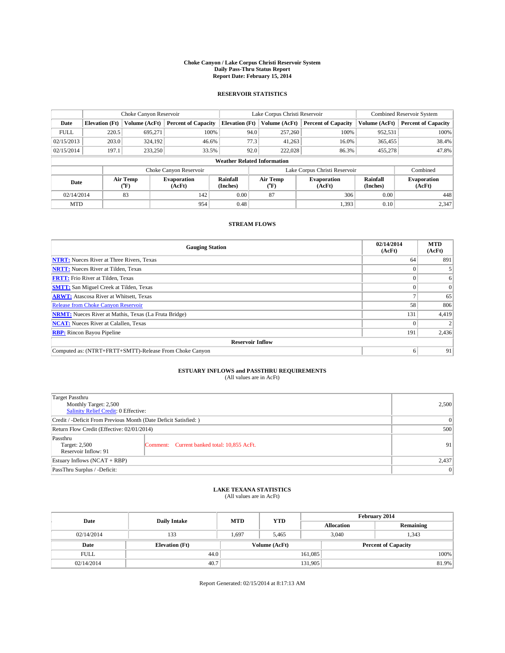#### **Choke Canyon / Lake Corpus Christi Reservoir System Daily Pass-Thru Status Report Report Date: February 15, 2014**

### **RESERVOIR STATISTICS**

|                                    |                       | Choke Canyon Reservoir |                              |                       | Lake Corpus Christi Reservoir | <b>Combined Reservoir System</b> |                      |                              |  |
|------------------------------------|-----------------------|------------------------|------------------------------|-----------------------|-------------------------------|----------------------------------|----------------------|------------------------------|--|
| Date                               | <b>Elevation</b> (Ft) | Volume (AcFt)          | <b>Percent of Capacity</b>   | <b>Elevation (Ft)</b> | Volume (AcFt)                 | <b>Percent of Capacity</b>       | Volume (AcFt)        | <b>Percent of Capacity</b>   |  |
| <b>FULL</b>                        | 220.5                 | 695,271                | 100%                         | 94.0                  | 257,260                       | 100%                             | 952,531              | 100%                         |  |
| 02/15/2013                         | 203.0                 | 324,192                | 46.6%                        |                       | 77.3<br>41,263                | 16.0%                            | 365,455              | 38.4%                        |  |
| 02/15/2014                         | 197.1                 | 233,250                | 33.5%                        |                       | 92.0<br>222,028               | 86.3%                            | 455,278              | 47.8%                        |  |
| <b>Weather Related Information</b> |                       |                        |                              |                       |                               |                                  |                      |                              |  |
|                                    |                       |                        | Choke Canyon Reservoir       |                       | Lake Corpus Christi Reservoir |                                  | Combined             |                              |  |
| Date                               |                       | Air Temp<br>(°F)       | <b>Evaporation</b><br>(AcFt) | Rainfall<br>(Inches)  | Air Temp<br>(°F)              | <b>Evaporation</b><br>(AcFt)     | Rainfall<br>(Inches) | <b>Evaporation</b><br>(AcFt) |  |
| 02/14/2014                         | 83<br>142             |                        | 0.00                         | 87                    | 306                           | 0.00                             | 448                  |                              |  |
| <b>MTD</b>                         |                       |                        | 954                          | 0.48                  |                               | 1,393                            | 0.10                 | 2,347                        |  |

### **STREAM FLOWS**

| <b>Gauging Station</b>                                       | 02/14/2014<br>(AcFt) | <b>MTD</b><br>(AcFt) |  |  |  |  |  |
|--------------------------------------------------------------|----------------------|----------------------|--|--|--|--|--|
| <b>NTRT:</b> Nueces River at Three Rivers, Texas             | 64                   | 891                  |  |  |  |  |  |
| <b>NRTT:</b> Nueces River at Tilden, Texas                   |                      |                      |  |  |  |  |  |
| <b>FRTT:</b> Frio River at Tilden, Texas                     |                      | 6                    |  |  |  |  |  |
| <b>SMTT:</b> San Miguel Creek at Tilden, Texas               |                      | $\overline{0}$       |  |  |  |  |  |
| <b>ARWT:</b> Atascosa River at Whitsett, Texas               |                      | 65                   |  |  |  |  |  |
| <b>Release from Choke Canyon Reservoir</b>                   | 58                   | 806                  |  |  |  |  |  |
| <b>NRMT:</b> Nueces River at Mathis, Texas (La Fruta Bridge) | 131                  | 4,419                |  |  |  |  |  |
| <b>NCAT:</b> Nueces River at Calallen, Texas                 |                      |                      |  |  |  |  |  |
| <b>RBP:</b> Rincon Bayou Pipeline                            | 191                  | 2,436                |  |  |  |  |  |
| <b>Reservoir Inflow</b>                                      |                      |                      |  |  |  |  |  |
| Computed as: (NTRT+FRTT+SMTT)-Release From Choke Canyon      | 6                    | 91                   |  |  |  |  |  |

# **ESTUARY INFLOWS and PASSTHRU REQUIREMENTS**<br>(All values are in AcFt)

| Target Passthru                                                  |                                             |    |  |  |
|------------------------------------------------------------------|---------------------------------------------|----|--|--|
| Monthly Target: 2,500                                            |                                             |    |  |  |
| Salinity Relief Credit: 0 Effective:                             |                                             |    |  |  |
| Credit / -Deficit From Previous Month (Date Deficit Satisfied: ) |                                             |    |  |  |
| Return Flow Credit (Effective: 02/01/2014)                       |                                             |    |  |  |
| Passthru<br>Target: 2,500                                        | Comment: Current banked total: 10,855 AcFt. | 91 |  |  |
| Reservoir Inflow: 91                                             |                                             |    |  |  |
| Estuary Inflows (NCAT + RBP)                                     |                                             |    |  |  |
| PassThru Surplus / -Deficit:                                     | 0                                           |    |  |  |

# **LAKE TEXANA STATISTICS** (All values are in AcFt)

| Date        | <b>Daily Intake</b>   | <b>MTD</b>    | <b>YTD</b> | February 2014 |                            |           |  |
|-------------|-----------------------|---------------|------------|---------------|----------------------------|-----------|--|
|             |                       |               |            |               | <b>Allocation</b>          | Remaining |  |
| 02/14/2014  | 133                   | 1,697         | 5,465      |               | 3,040                      | 1,343     |  |
| Date        | <b>Elevation</b> (Ft) | Volume (AcFt) |            |               | <b>Percent of Capacity</b> |           |  |
| <b>FULL</b> | 44.0                  |               |            | 161.085       |                            | 100%      |  |
| 02/14/2014  | 40.7                  |               |            | 131,905       |                            | 81.9%     |  |

Report Generated: 02/15/2014 at 8:17:13 AM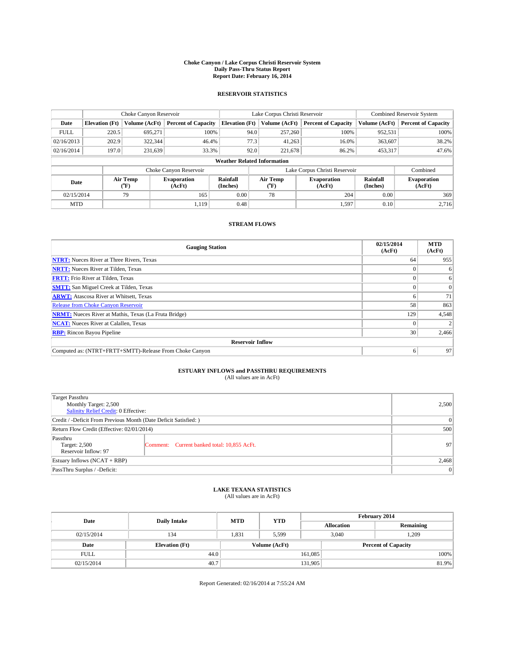#### **Choke Canyon / Lake Corpus Christi Reservoir System Daily Pass-Thru Status Report Report Date: February 16, 2014**

### **RESERVOIR STATISTICS**

|             | Choke Canyon Reservoir             |                  |                              |                       | Lake Corpus Christi Reservoir | <b>Combined Reservoir System</b> |                      |                              |  |
|-------------|------------------------------------|------------------|------------------------------|-----------------------|-------------------------------|----------------------------------|----------------------|------------------------------|--|
| Date        | <b>Elevation</b> (Ft)              | Volume (AcFt)    | <b>Percent of Capacity</b>   | <b>Elevation (Ft)</b> | Volume (AcFt)                 | <b>Percent of Capacity</b>       | Volume (AcFt)        | <b>Percent of Capacity</b>   |  |
| <b>FULL</b> | 220.5                              | 695.271          | 100%                         | 94.0                  | 257,260                       | 100%                             | 952,531              | 100%                         |  |
| 02/16/2013  | 202.9                              | 322,344          | 46.4%                        | 77.3                  | 41,263                        | 16.0%                            | 363,607              | 38.2%                        |  |
| 02/16/2014  | 197.0                              | 231,639          | 33.3%                        | 92.0                  | 221,678                       | 86.2%                            | 453,317              | 47.6%                        |  |
|             | <b>Weather Related Information</b> |                  |                              |                       |                               |                                  |                      |                              |  |
|             |                                    |                  | Choke Canyon Reservoir       |                       |                               | Lake Corpus Christi Reservoir    |                      | Combined                     |  |
| Date        |                                    | Air Temp<br>(°F) | <b>Evaporation</b><br>(AcFt) | Rainfall<br>(Inches)  | Air Temp<br>(°F)              | <b>Evaporation</b><br>(AcFt)     | Rainfall<br>(Inches) | <b>Evaporation</b><br>(AcFt) |  |
| 02/15/2014  |                                    | 79               | 165                          | 0.00<br>78            |                               | 204                              | 0.00                 | 369                          |  |
| <b>MTD</b>  |                                    |                  | 1.119                        | 0.48                  |                               | 1,597                            | 0.10                 | 2,716                        |  |

### **STREAM FLOWS**

| <b>Gauging Station</b>                                       | 02/15/2014<br>(AcFt) | <b>MTD</b><br>(AcFt) |  |  |  |  |
|--------------------------------------------------------------|----------------------|----------------------|--|--|--|--|
| <b>NTRT:</b> Nueces River at Three Rivers, Texas             | 64                   | 955                  |  |  |  |  |
| <b>NRTT:</b> Nueces River at Tilden, Texas                   |                      | 6                    |  |  |  |  |
| <b>FRTT:</b> Frio River at Tilden, Texas                     |                      | 6                    |  |  |  |  |
| <b>SMTT:</b> San Miguel Creek at Tilden, Texas               |                      | $\Omega$             |  |  |  |  |
| <b>ARWT:</b> Atascosa River at Whitsett, Texas               |                      | 71                   |  |  |  |  |
| <b>Release from Choke Canyon Reservoir</b>                   | 58                   | 863                  |  |  |  |  |
| <b>NRMT:</b> Nueces River at Mathis, Texas (La Fruta Bridge) | 129                  | 4,548                |  |  |  |  |
| <b>NCAT:</b> Nueces River at Calallen, Texas                 |                      |                      |  |  |  |  |
| <b>RBP:</b> Rincon Bayou Pipeline                            | 30                   | 2,466                |  |  |  |  |
| <b>Reservoir Inflow</b>                                      |                      |                      |  |  |  |  |
| Computed as: (NTRT+FRTT+SMTT)-Release From Choke Canyon      | 6                    | 97                   |  |  |  |  |

# **ESTUARY INFLOWS and PASSTHRU REQUIREMENTS**<br>(All values are in AcFt)

| <b>Target Passthru</b><br>Monthly Target: 2,500<br>Salinity Relief Credit: 0 Effective: | 2,500                                       |    |  |  |
|-----------------------------------------------------------------------------------------|---------------------------------------------|----|--|--|
| Credit / -Deficit From Previous Month (Date Deficit Satisfied: )                        |                                             |    |  |  |
| Return Flow Credit (Effective: 02/01/2014)                                              |                                             |    |  |  |
| Passthru<br>Target: 2,500<br>Reservoir Inflow: 97                                       | Comment: Current banked total: 10,855 AcFt. | 97 |  |  |
| Estuary Inflows (NCAT + RBP)                                                            | 2,468                                       |    |  |  |
| PassThru Surplus / -Deficit:                                                            | 0                                           |    |  |  |

# **LAKE TEXANA STATISTICS** (All values are in AcFt)

| Date        | <b>Daily Intake</b>   | <b>MTD</b>    | <b>YTD</b> | February 2014 |                            |           |  |
|-------------|-----------------------|---------------|------------|---------------|----------------------------|-----------|--|
|             |                       |               |            |               | <b>Allocation</b>          | Remaining |  |
| 02/15/2014  | 134                   | 1,831         | 5,599      |               | .209<br>3,040              |           |  |
| Date        | <b>Elevation</b> (Ft) | Volume (AcFt) |            |               | <b>Percent of Capacity</b> |           |  |
| <b>FULL</b> | 44.0                  |               |            | 161,085       |                            | 100%      |  |
| 02/15/2014  | 40.7                  |               |            | 131,905       |                            | 81.9%     |  |

Report Generated: 02/16/2014 at 7:55:24 AM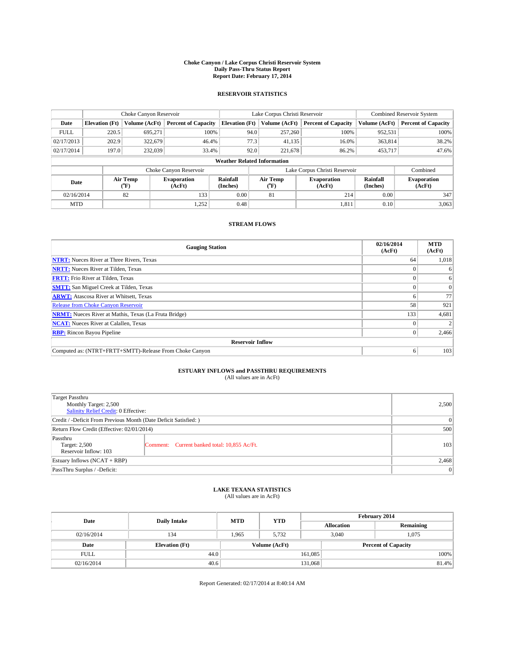#### **Choke Canyon / Lake Corpus Christi Reservoir System Daily Pass-Thru Status Report Report Date: February 17, 2014**

### **RESERVOIR STATISTICS**

|             | Choke Canyon Reservoir             |               |                              |                       | Lake Corpus Christi Reservoir | <b>Combined Reservoir System</b> |                      |                              |  |
|-------------|------------------------------------|---------------|------------------------------|-----------------------|-------------------------------|----------------------------------|----------------------|------------------------------|--|
| Date        | <b>Elevation</b> (Ft)              | Volume (AcFt) | <b>Percent of Capacity</b>   | <b>Elevation (Ft)</b> | Volume (AcFt)                 | <b>Percent of Capacity</b>       | Volume (AcFt)        | <b>Percent of Capacity</b>   |  |
| <b>FULL</b> | 220.5                              | 695,271       | 100%                         | 94.0                  | 257,260                       | 100%                             | 952,531              | 100%                         |  |
| 02/17/2013  | 202.9                              | 322,679       | 46.4%                        | 77.3                  | 41,135                        | 16.0%                            | 363,814              | 38.2%                        |  |
| 02/17/2014  | 197.0                              | 232,039       | 33.4%                        | 92.0                  | 221,678                       | 86.2%                            | 453,717              | 47.6%                        |  |
|             | <b>Weather Related Information</b> |               |                              |                       |                               |                                  |                      |                              |  |
|             |                                    |               | Choke Canyon Reservoir       |                       |                               | Lake Corpus Christi Reservoir    |                      | Combined                     |  |
| Date        | Air Temp<br>(°F)                   |               | <b>Evaporation</b><br>(AcFt) | Rainfall<br>(Inches)  | Air Temp<br>(°F)              | <b>Evaporation</b><br>(AcFt)     | Rainfall<br>(Inches) | <b>Evaporation</b><br>(AcFt) |  |
| 02/16/2014  |                                    | 82            | 133                          | 0.00                  | 81                            | 214                              | 0.00                 | 347                          |  |
| <b>MTD</b>  |                                    |               | 1,252                        | 0.48                  |                               | 1,811                            | 0.10                 | 3,063                        |  |

### **STREAM FLOWS**

| <b>Gauging Station</b>                                       | 02/16/2014<br>(AcFt) | <b>MTD</b><br>(AcFt) |  |  |  |  |
|--------------------------------------------------------------|----------------------|----------------------|--|--|--|--|
| <b>NTRT:</b> Nueces River at Three Rivers, Texas             | 64                   | 1,018                |  |  |  |  |
| <b>NRTT:</b> Nueces River at Tilden, Texas                   |                      | 6                    |  |  |  |  |
| <b>FRTT:</b> Frio River at Tilden, Texas                     |                      | 6                    |  |  |  |  |
| <b>SMTT:</b> San Miguel Creek at Tilden, Texas               |                      | $\Omega$             |  |  |  |  |
| <b>ARWT:</b> Atascosa River at Whitsett, Texas               |                      | 77                   |  |  |  |  |
| <b>Release from Choke Canyon Reservoir</b>                   | 58                   | 921                  |  |  |  |  |
| <b>NRMT:</b> Nueces River at Mathis, Texas (La Fruta Bridge) | 133                  | 4,681                |  |  |  |  |
| <b>NCAT:</b> Nueces River at Calallen, Texas                 |                      |                      |  |  |  |  |
| <b>RBP:</b> Rincon Bayou Pipeline                            | $\theta$             | 2,466                |  |  |  |  |
| <b>Reservoir Inflow</b>                                      |                      |                      |  |  |  |  |
| Computed as: (NTRT+FRTT+SMTT)-Release From Choke Canyon      | 6                    | 103                  |  |  |  |  |

# **ESTUARY INFLOWS and PASSTHRU REQUIREMENTS**<br>(All values are in AcFt)

| Target Passthru                                                  |                                              |     |  |  |
|------------------------------------------------------------------|----------------------------------------------|-----|--|--|
| Monthly Target: 2,500                                            |                                              |     |  |  |
| Salinity Relief Credit: 0 Effective:                             |                                              |     |  |  |
| Credit / -Deficit From Previous Month (Date Deficit Satisfied: ) |                                              |     |  |  |
| Return Flow Credit (Effective: 02/01/2014)                       |                                              |     |  |  |
| Passthru<br>Target: 2,500                                        | Comment: Current banked total: 10,855 Ac/Ft. | 103 |  |  |
| Reservoir Inflow: 103                                            |                                              |     |  |  |
| Estuary Inflows (NCAT + RBP)                                     |                                              |     |  |  |
| PassThru Surplus / -Deficit:                                     | 0                                            |     |  |  |

# **LAKE TEXANA STATISTICS** (All values are in AcFt)

| Date        | <b>Daily Intake</b>   | <b>MTD</b> | <b>YTD</b>    | February 2014 |                            |           |  |
|-------------|-----------------------|------------|---------------|---------------|----------------------------|-----------|--|
|             |                       |            |               |               | <b>Allocation</b>          | Remaining |  |
| 02/16/2014  | 134                   | 1.965      | 5.732         |               | 3,040<br>1,075             |           |  |
| Date        | <b>Elevation</b> (Ft) |            | Volume (AcFt) |               | <b>Percent of Capacity</b> |           |  |
| <b>FULL</b> | 44.0                  |            |               | 161,085       |                            | 100%      |  |
| 02/16/2014  | 40.6                  |            |               | 131,068       |                            | 81.4%     |  |

Report Generated: 02/17/2014 at 8:40:14 AM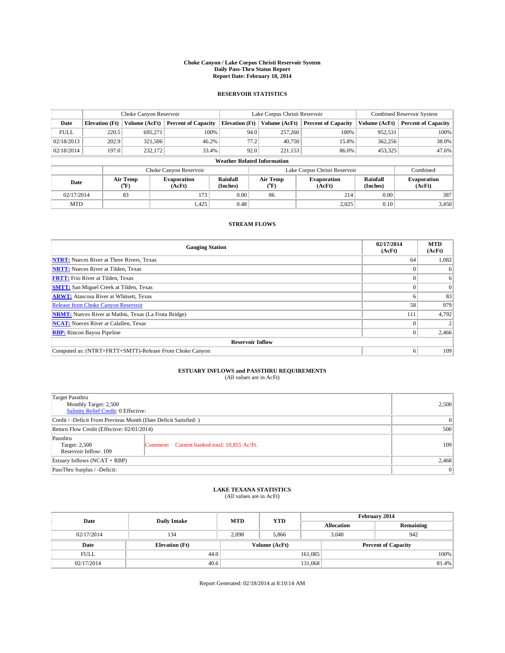#### **Choke Canyon / Lake Corpus Christi Reservoir System Daily Pass-Thru Status Report Report Date: February 18, 2014**

### **RESERVOIR STATISTICS**

|             | Choke Canyon Reservoir             |               |                              |                       | Lake Corpus Christi Reservoir | <b>Combined Reservoir System</b> |                      |                              |  |
|-------------|------------------------------------|---------------|------------------------------|-----------------------|-------------------------------|----------------------------------|----------------------|------------------------------|--|
| Date        | <b>Elevation</b> (Ft)              | Volume (AcFt) | <b>Percent of Capacity</b>   | <b>Elevation (Ft)</b> | Volume (AcFt)                 | <b>Percent of Capacity</b>       | Volume (AcFt)        | <b>Percent of Capacity</b>   |  |
| <b>FULL</b> | 220.5                              | 695,271       | 100%                         | 94.0                  | 257,260                       | 100%                             | 952,531              | 100%                         |  |
| 02/18/2013  | 202.9                              | 321,506       | 46.2%                        | 77.2                  | 40,750                        | 15.8%                            | 362,256              | 38.0%                        |  |
| 02/18/2014  | 197.0                              | 232,172       | 33.4%                        | 92.0                  | 221.153                       | 86.0%                            | 453,325              | 47.6%                        |  |
|             | <b>Weather Related Information</b> |               |                              |                       |                               |                                  |                      |                              |  |
|             |                                    |               | Choke Canyon Reservoir       |                       |                               | Lake Corpus Christi Reservoir    |                      | Combined                     |  |
| Date        | Air Temp<br>(°F)                   |               | <b>Evaporation</b><br>(AcFt) | Rainfall<br>(Inches)  | Air Temp<br>$(^{0}F)$         | <b>Evaporation</b><br>(AcFt)     | Rainfall<br>(Inches) | <b>Evaporation</b><br>(AcFt) |  |
| 02/17/2014  |                                    | 83            | 173                          | 0.00                  | 86                            | 214                              | 0.00                 | 387                          |  |
| <b>MTD</b>  |                                    |               | 1,425                        | 0.48                  |                               | 2,025                            | 0.10                 | 3,450                        |  |

### **STREAM FLOWS**

| <b>Gauging Station</b>                                       | 02/17/2014<br>(AcFt) | <b>MTD</b><br>(AcFt) |  |  |  |  |
|--------------------------------------------------------------|----------------------|----------------------|--|--|--|--|
| <b>NTRT:</b> Nueces River at Three Rivers, Texas             | 64                   | 1,082                |  |  |  |  |
| <b>NRTT:</b> Nueces River at Tilden, Texas                   |                      | 6                    |  |  |  |  |
| <b>FRTT:</b> Frio River at Tilden, Texas                     |                      | 6                    |  |  |  |  |
| <b>SMTT:</b> San Miguel Creek at Tilden, Texas               |                      | $\overline{0}$       |  |  |  |  |
| <b>ARWT:</b> Atascosa River at Whitsett, Texas               |                      | 83                   |  |  |  |  |
| <b>Release from Choke Canyon Reservoir</b>                   | 58                   | 979                  |  |  |  |  |
| <b>NRMT:</b> Nueces River at Mathis, Texas (La Fruta Bridge) | 111                  | 4,792                |  |  |  |  |
| <b>NCAT:</b> Nueces River at Calallen, Texas                 |                      |                      |  |  |  |  |
| <b>RBP:</b> Rincon Bayou Pipeline                            | $\theta$             | 2,466                |  |  |  |  |
| <b>Reservoir Inflow</b>                                      |                      |                      |  |  |  |  |
| Computed as: (NTRT+FRTT+SMTT)-Release From Choke Canyon      | 6                    | 109                  |  |  |  |  |

# **ESTUARY INFLOWS and PASSTHRU REQUIREMENTS**<br>(All values are in AcFt)

| Target Passthru<br>Monthly Target: 2,500<br>Salinity Relief Credit: 0 Effective: | 2,500                                        |     |
|----------------------------------------------------------------------------------|----------------------------------------------|-----|
| Credit / -Deficit From Previous Month (Date Deficit Satisfied: )                 | 0                                            |     |
| Return Flow Credit (Effective: 02/01/2014)                                       | 500                                          |     |
| Passthru<br>Target: 2,500<br>Reservoir Inflow: 109                               | Comment: Current banked total: 10,855 Ac/Ft. | 109 |
| Estuary Inflows $(NCAT + RBP)$                                                   | 2,468                                        |     |
| PassThru Surplus / -Deficit:                                                     | 0                                            |     |

## **LAKE TEXANA STATISTICS** (All values are in AcFt)

| Date        | <b>Daily Intake</b>   | <b>MTD</b> | <b>YTD</b>    | February 2014 |                            |           |  |
|-------------|-----------------------|------------|---------------|---------------|----------------------------|-----------|--|
|             |                       |            |               |               | <b>Allocation</b>          | Remaining |  |
| 02/17/2014  | 134                   | 2,098      | 5,866         |               | 3,040<br>942               |           |  |
| Date        | <b>Elevation</b> (Ft) |            | Volume (AcFt) |               | <b>Percent of Capacity</b> |           |  |
| <b>FULL</b> | 44.0                  |            |               | 161,085       |                            | 100%      |  |
| 02/17/2014  | 40.6                  |            | 131,068       |               |                            | 81.4%     |  |

Report Generated: 02/18/2014 at 8:10:14 AM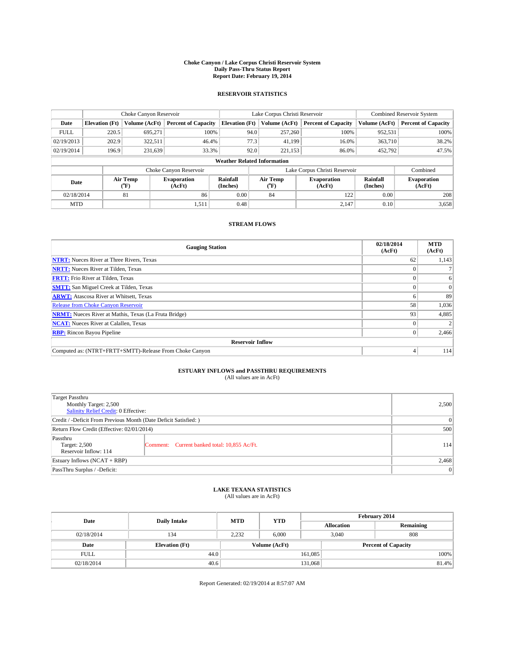#### **Choke Canyon / Lake Corpus Christi Reservoir System Daily Pass-Thru Status Report Report Date: February 19, 2014**

### **RESERVOIR STATISTICS**

|                                    |                       | Choke Canyon Reservoir |                              |                       | Lake Corpus Christi Reservoir | Combined Reservoir System     |                      |                              |
|------------------------------------|-----------------------|------------------------|------------------------------|-----------------------|-------------------------------|-------------------------------|----------------------|------------------------------|
| Date                               | <b>Elevation</b> (Ft) | Volume (AcFt)          | <b>Percent of Capacity</b>   | <b>Elevation (Ft)</b> | Volume (AcFt)                 | <b>Percent of Capacity</b>    | Volume (AcFt)        | <b>Percent of Capacity</b>   |
| <b>FULL</b>                        | 220.5                 | 695.271                | 100%                         | 94.0                  | 257,260                       | 100%                          | 952,531              | 100%                         |
| 02/19/2013                         | 202.9                 | 322,511                | 46.4%                        | 77.3                  | 41.199                        | 16.0%                         | 363,710              | 38.2%                        |
| 02/19/2014                         | 196.9                 | 231,639                | 33.3%                        | 92.0                  | 221.153                       | 86.0%                         | 452,792              | 47.5%                        |
| <b>Weather Related Information</b> |                       |                        |                              |                       |                               |                               |                      |                              |
|                                    |                       |                        | Choke Canyon Reservoir       |                       |                               | Lake Corpus Christi Reservoir |                      | Combined                     |
| Date                               |                       | Air Temp<br>(°F)       | <b>Evaporation</b><br>(AcFt) | Rainfall<br>(Inches)  | Air Temp<br>$(^{0}F)$         | <b>Evaporation</b><br>(AcFt)  | Rainfall<br>(Inches) | <b>Evaporation</b><br>(AcFt) |
| 02/18/2014                         |                       | 81                     | 86                           |                       | 84                            | 122                           | 0.00                 | 208                          |
| <b>MTD</b>                         |                       |                        | 1,511                        | 0.48                  |                               | 2,147                         | 0.10                 | 3,658                        |

### **STREAM FLOWS**

| <b>Gauging Station</b>                                       | 02/18/2014<br>(AcFt) | <b>MTD</b><br>(AcFt) |  |  |  |  |
|--------------------------------------------------------------|----------------------|----------------------|--|--|--|--|
| <b>NTRT:</b> Nueces River at Three Rivers, Texas             | 62                   | 1,143                |  |  |  |  |
| <b>NRTT:</b> Nueces River at Tilden, Texas                   |                      |                      |  |  |  |  |
| <b>FRTT:</b> Frio River at Tilden, Texas                     |                      | 6                    |  |  |  |  |
| <b>SMTT:</b> San Miguel Creek at Tilden, Texas               |                      | $\Omega$             |  |  |  |  |
| <b>ARWT:</b> Atascosa River at Whitsett, Texas               |                      | 89                   |  |  |  |  |
| <b>Release from Choke Canyon Reservoir</b>                   | 58                   | 1,036                |  |  |  |  |
| <b>NRMT:</b> Nueces River at Mathis, Texas (La Fruta Bridge) | 93                   | 4,885                |  |  |  |  |
| <b>NCAT:</b> Nueces River at Calallen, Texas                 |                      |                      |  |  |  |  |
| <b>RBP:</b> Rincon Bayou Pipeline                            | 0                    | 2,466                |  |  |  |  |
| <b>Reservoir Inflow</b>                                      |                      |                      |  |  |  |  |
| Computed as: (NTRT+FRTT+SMTT)-Release From Choke Canyon      | 4                    | 114                  |  |  |  |  |

# **ESTUARY INFLOWS and PASSTHRU REQUIREMENTS**<br>(All values are in AcFt)

| Target Passthru                                                  |                                              |     |  |  |
|------------------------------------------------------------------|----------------------------------------------|-----|--|--|
| Monthly Target: 2,500                                            |                                              |     |  |  |
| Salinity Relief Credit: 0 Effective:                             |                                              |     |  |  |
| Credit / -Deficit From Previous Month (Date Deficit Satisfied: ) |                                              |     |  |  |
| Return Flow Credit (Effective: 02/01/2014)                       |                                              |     |  |  |
| Passthru                                                         |                                              |     |  |  |
| Target: 2,500                                                    | Comment: Current banked total: 10,855 Ac/Ft. | 114 |  |  |
| Reservoir Inflow: 114                                            |                                              |     |  |  |
| Estuary Inflows (NCAT + RBP)                                     |                                              |     |  |  |
| PassThru Surplus / -Deficit:                                     | 0                                            |     |  |  |

# **LAKE TEXANA STATISTICS** (All values are in AcFt)

| Date        | <b>Daily Intake</b>   | <b>MTD</b> | <b>YTD</b>    | February 2014 |                            |           |  |
|-------------|-----------------------|------------|---------------|---------------|----------------------------|-----------|--|
|             |                       |            |               |               | <b>Allocation</b>          | Remaining |  |
| 02/18/2014  | 134                   | 2,232      | 6,000         |               | 808<br>3,040               |           |  |
| Date        | <b>Elevation</b> (Ft) |            | Volume (AcFt) |               | <b>Percent of Capacity</b> |           |  |
| <b>FULL</b> | 44.0                  |            |               | 161,085       |                            | 100%      |  |
| 02/18/2014  | 40.6                  |            |               | 131,068       |                            | 81.4%     |  |

Report Generated: 02/19/2014 at 8:57:07 AM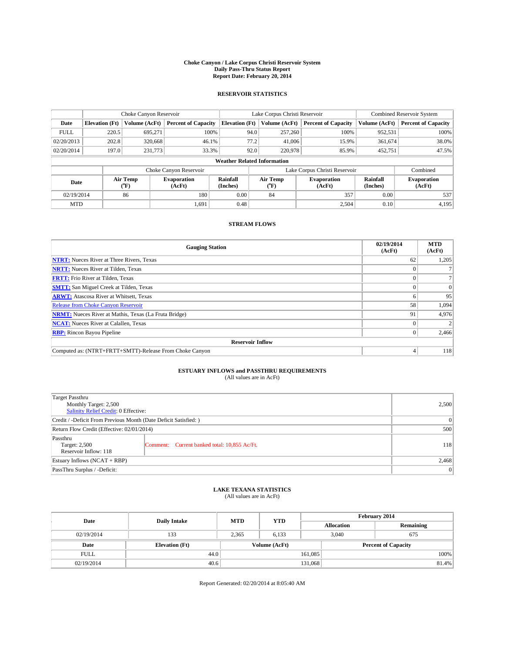#### **Choke Canyon / Lake Corpus Christi Reservoir System Daily Pass-Thru Status Report Report Date: February 20, 2014**

### **RESERVOIR STATISTICS**

|             | Choke Canyon Reservoir             |                  |                              |                       | Lake Corpus Christi Reservoir | Combined Reservoir System     |                      |                              |  |
|-------------|------------------------------------|------------------|------------------------------|-----------------------|-------------------------------|-------------------------------|----------------------|------------------------------|--|
| Date        | <b>Elevation</b> (Ft)              | Volume (AcFt)    | <b>Percent of Capacity</b>   | <b>Elevation</b> (Ft) | Volume (AcFt)                 | <b>Percent of Capacity</b>    | Volume (AcFt)        | <b>Percent of Capacity</b>   |  |
| <b>FULL</b> | 220.5                              | 695.271          | 100%                         | 94.0                  | 257,260                       | 100%                          | 952,531              | 100%                         |  |
| 02/20/2013  | 202.8                              | 320,668          | 46.1%                        | 77.2                  | 41,006                        | 15.9%                         | 361,674              | 38.0%                        |  |
| 02/20/2014  | 197.0                              | 231,773          | 33.3%                        | 92.0                  | 220,978                       | 85.9%                         | 452,751              | 47.5%                        |  |
|             | <b>Weather Related Information</b> |                  |                              |                       |                               |                               |                      |                              |  |
|             |                                    |                  | Choke Canyon Reservoir       |                       |                               | Lake Corpus Christi Reservoir |                      | Combined                     |  |
| Date        |                                    | Air Temp<br>(°F) | <b>Evaporation</b><br>(AcFt) | Rainfall<br>(Inches)  | Air Temp<br>$\rm ^{(^o}\!F)$  | <b>Evaporation</b><br>(AcFt)  | Rainfall<br>(Inches) | <b>Evaporation</b><br>(AcFt) |  |
| 02/19/2014  | 86                                 |                  | 180                          | 0.00                  | 84                            | 357                           | 0.00                 | 537                          |  |
| <b>MTD</b>  |                                    |                  | 1,691                        | 0.48                  |                               | 2,504                         | 0.10                 | 4,195                        |  |

### **STREAM FLOWS**

| <b>Gauging Station</b>                                       | 02/19/2014<br>(AcFt) | <b>MTD</b><br>(AcFt) |  |  |  |  |
|--------------------------------------------------------------|----------------------|----------------------|--|--|--|--|
| <b>NTRT:</b> Nueces River at Three Rivers, Texas             | 62                   | 1,205                |  |  |  |  |
| <b>NRTT:</b> Nueces River at Tilden, Texas                   |                      |                      |  |  |  |  |
| <b>FRTT:</b> Frio River at Tilden, Texas                     |                      |                      |  |  |  |  |
| <b>SMTT:</b> San Miguel Creek at Tilden, Texas               |                      | $\Omega$             |  |  |  |  |
| <b>ARWT:</b> Atascosa River at Whitsett, Texas               |                      | 95                   |  |  |  |  |
| <b>Release from Choke Canyon Reservoir</b>                   | 58                   | 1,094                |  |  |  |  |
| <b>NRMT:</b> Nueces River at Mathis, Texas (La Fruta Bridge) | 91                   | 4,976                |  |  |  |  |
| <b>NCAT:</b> Nueces River at Calallen, Texas                 |                      |                      |  |  |  |  |
| <b>RBP:</b> Rincon Bayou Pipeline                            | 0                    | 2,466                |  |  |  |  |
| <b>Reservoir Inflow</b>                                      |                      |                      |  |  |  |  |
| Computed as: (NTRT+FRTT+SMTT)-Release From Choke Canyon      | 4                    | 118                  |  |  |  |  |

# **ESTUARY INFLOWS and PASSTHRU REQUIREMENTS**<br>(All values are in AcFt)

| Target Passthru<br>Monthly Target: 2,500<br>Salinity Relief Credit: 0 Effective: | 2,500                                        |     |
|----------------------------------------------------------------------------------|----------------------------------------------|-----|
| Credit / -Deficit From Previous Month (Date Deficit Satisfied: )                 | 0                                            |     |
| Return Flow Credit (Effective: 02/01/2014)                                       | 500                                          |     |
| Passthru<br>Target: 2,500<br>Reservoir Inflow: 118                               | Comment: Current banked total: 10,855 Ac/Ft. | 118 |
| Estuary Inflows $(NCAT + RBP)$                                                   | 2,468                                        |     |
| PassThru Surplus / -Deficit:                                                     | 0                                            |     |

## **LAKE TEXANA STATISTICS** (All values are in AcFt)

| Date        | <b>Daily Intake</b>   | <b>MTD</b>    | <b>YTD</b> | February 2014 |                            |           |  |
|-------------|-----------------------|---------------|------------|---------------|----------------------------|-----------|--|
|             |                       |               |            |               | <b>Allocation</b>          | Remaining |  |
| 02/19/2014  | 133                   | 2,365         | 6,133      |               | 3,040<br>675               |           |  |
| Date        | <b>Elevation</b> (Ft) | Volume (AcFt) |            |               | <b>Percent of Capacity</b> |           |  |
| <b>FULL</b> | 44.0                  |               |            | 161,085       |                            | 100%      |  |
| 02/19/2014  | 40.6                  |               |            | 131,068       |                            | 81.4%     |  |

Report Generated: 02/20/2014 at 8:05:40 AM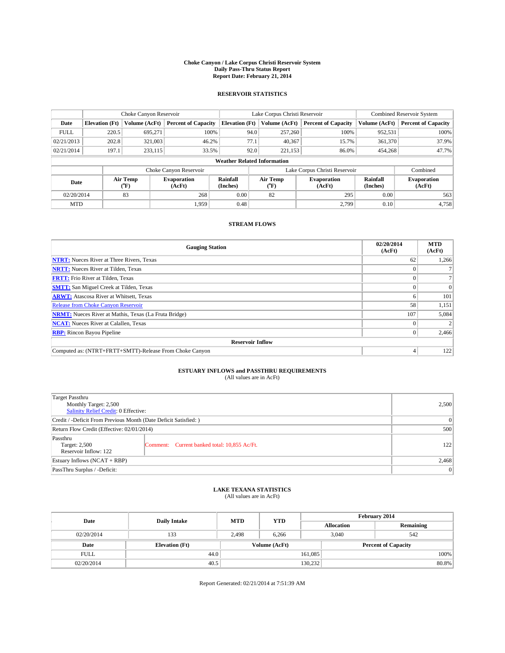#### **Choke Canyon / Lake Corpus Christi Reservoir System Daily Pass-Thru Status Report Report Date: February 21, 2014**

### **RESERVOIR STATISTICS**

|             | Choke Canyon Reservoir             |                  |                              |                       | Lake Corpus Christi Reservoir | Combined Reservoir System     |                      |                              |  |
|-------------|------------------------------------|------------------|------------------------------|-----------------------|-------------------------------|-------------------------------|----------------------|------------------------------|--|
| Date        | <b>Elevation</b> (Ft)              | Volume (AcFt)    | <b>Percent of Capacity</b>   | <b>Elevation (Ft)</b> | Volume (AcFt)                 | <b>Percent of Capacity</b>    | Volume (AcFt)        | <b>Percent of Capacity</b>   |  |
| <b>FULL</b> | 220.5                              | 695.271          | 100%                         | 94.0                  | 257,260                       | 100%                          | 952,531              | 100%                         |  |
| 02/21/2013  | 202.8                              | 321,003          | 46.2%                        | 77.1                  | 40,367                        | 15.7%                         | 361,370              | 37.9%                        |  |
| 02/21/2014  | 197.1                              | 233,115          | 33.5%                        | 92.0                  | 221,153                       | 86.0%                         | 454,268              | 47.7%                        |  |
|             | <b>Weather Related Information</b> |                  |                              |                       |                               |                               |                      |                              |  |
|             |                                    |                  | Choke Canyon Reservoir       |                       |                               | Lake Corpus Christi Reservoir |                      | Combined                     |  |
| Date        |                                    | Air Temp<br>(°F) | <b>Evaporation</b><br>(AcFt) | Rainfall<br>(Inches)  | Air Temp<br>(°F)              | <b>Evaporation</b><br>(AcFt)  | Rainfall<br>(Inches) | <b>Evaporation</b><br>(AcFt) |  |
| 02/20/2014  | 83<br>268                          |                  | 0.00                         | 82                    | 295                           | 0.00                          | 563                  |                              |  |
| <b>MTD</b>  |                                    |                  | 1.959                        | 0.48                  |                               | 2,799                         | 0.10                 | 4,758                        |  |

### **STREAM FLOWS**

| <b>Gauging Station</b>                                       | 02/20/2014<br>(AcFt) | <b>MTD</b><br>(AcFt) |  |  |  |  |
|--------------------------------------------------------------|----------------------|----------------------|--|--|--|--|
| <b>NTRT:</b> Nueces River at Three Rivers, Texas             | 62                   | 1,266                |  |  |  |  |
| <b>NRTT:</b> Nueces River at Tilden, Texas                   |                      |                      |  |  |  |  |
| <b>FRTT:</b> Frio River at Tilden, Texas                     |                      |                      |  |  |  |  |
| <b>SMTT:</b> San Miguel Creek at Tilden, Texas               |                      | $\Omega$             |  |  |  |  |
| <b>ARWT:</b> Atascosa River at Whitsett, Texas               |                      | 101                  |  |  |  |  |
| <b>Release from Choke Canyon Reservoir</b>                   | 58                   | 1,151                |  |  |  |  |
| <b>NRMT:</b> Nueces River at Mathis, Texas (La Fruta Bridge) | 107                  | 5,084                |  |  |  |  |
| <b>NCAT:</b> Nueces River at Calallen, Texas                 |                      |                      |  |  |  |  |
| <b>RBP:</b> Rincon Bayou Pipeline                            | $^{(1)}$             | 2,466                |  |  |  |  |
| <b>Reservoir Inflow</b>                                      |                      |                      |  |  |  |  |
| Computed as: (NTRT+FRTT+SMTT)-Release From Choke Canyon      |                      | 122                  |  |  |  |  |

# **ESTUARY INFLOWS and PASSTHRU REQUIREMENTS**<br>(All values are in AcFt)

| Target Passthru<br>Monthly Target: 2,500<br>Salinity Relief Credit: 0 Effective: | 2,500                                        |     |
|----------------------------------------------------------------------------------|----------------------------------------------|-----|
| Credit / -Deficit From Previous Month (Date Deficit Satisfied: )                 | 0                                            |     |
| Return Flow Credit (Effective: 02/01/2014)                                       | 500                                          |     |
| Passthru<br>Target: 2,500<br>Reservoir Inflow: 122                               | Comment: Current banked total: 10,855 Ac/Ft. | 122 |
| Estuary Inflows $(NCAT + RBP)$                                                   | 2,468                                        |     |
| PassThru Surplus / -Deficit:                                                     | $\vert 0 \vert$                              |     |

# **LAKE TEXANA STATISTICS** (All values are in AcFt)

| Date        | <b>Daily Intake</b>   | <b>MTD</b>    | <b>YTD</b> | February 2014 |                            |           |  |
|-------------|-----------------------|---------------|------------|---------------|----------------------------|-----------|--|
|             |                       |               |            |               | <b>Allocation</b>          | Remaining |  |
| 02/20/2014  | 133                   | 2,498         | 6,266      |               | 3,040<br>542               |           |  |
| Date        | <b>Elevation</b> (Ft) | Volume (AcFt) |            |               | <b>Percent of Capacity</b> |           |  |
| <b>FULL</b> | 44.0                  |               |            | 161,085       |                            | 100%      |  |
| 02/20/2014  | 40.5                  |               |            | 130,232       |                            | 80.8%     |  |

Report Generated: 02/21/2014 at 7:51:39 AM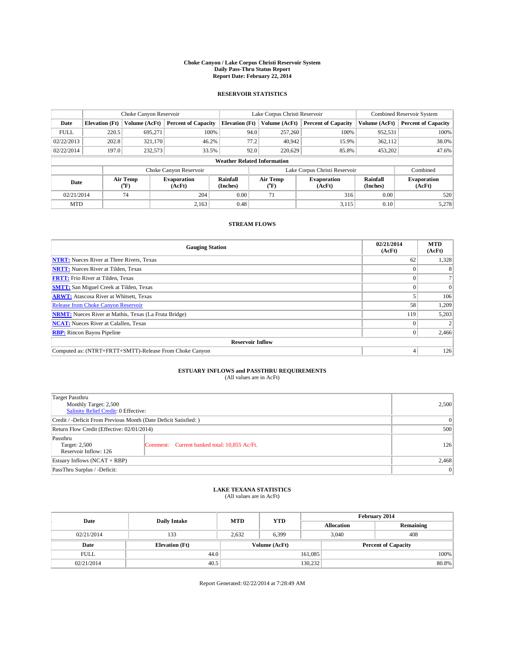#### **Choke Canyon / Lake Corpus Christi Reservoir System Daily Pass-Thru Status Report Report Date: February 22, 2014**

### **RESERVOIR STATISTICS**

|             | Choke Canyon Reservoir             |                  |                              |                       | Lake Corpus Christi Reservoir | Combined Reservoir System     |                      |                              |  |  |
|-------------|------------------------------------|------------------|------------------------------|-----------------------|-------------------------------|-------------------------------|----------------------|------------------------------|--|--|
| Date        | <b>Elevation</b> (Ft)              | Volume (AcFt)    | <b>Percent of Capacity</b>   | <b>Elevation (Ft)</b> | Volume (AcFt)                 | <b>Percent of Capacity</b>    | Volume (AcFt)        | <b>Percent of Capacity</b>   |  |  |
| <b>FULL</b> | 220.5                              | 695.271          | 100%                         | 94.0                  | 257,260                       | 100%                          | 952,531              | 100%                         |  |  |
| 02/22/2013  | 202.8                              | 321,170          | 46.2%                        | 77.2                  | 40,942                        | 15.9%                         | 362,112              | 38.0%                        |  |  |
| 02/22/2014  | 197.0                              | 232,573          | 33.5%                        | 92.0                  | 220,629                       | 85.8%                         | 453,202              | 47.6%                        |  |  |
|             | <b>Weather Related Information</b> |                  |                              |                       |                               |                               |                      |                              |  |  |
|             |                                    |                  | Choke Canyon Reservoir       |                       |                               | Lake Corpus Christi Reservoir |                      | Combined                     |  |  |
| Date        |                                    | Air Temp<br>(°F) | <b>Evaporation</b><br>(AcFt) | Rainfall<br>(Inches)  | Air Temp<br>(°F)              | <b>Evaporation</b><br>(AcFt)  | Rainfall<br>(Inches) | <b>Evaporation</b><br>(AcFt) |  |  |
| 02/21/2014  |                                    | 74               | 204<br>0.00<br>71            |                       | 316                           | 0.00                          | 520                  |                              |  |  |
| <b>MTD</b>  |                                    |                  | 2.163                        | 0.48                  |                               | 3,115                         | 0.10                 | 5,278                        |  |  |

### **STREAM FLOWS**

| <b>Gauging Station</b>                                       | 02/21/2014<br>(AcFt) | <b>MTD</b><br>(AcFt) |  |  |  |  |
|--------------------------------------------------------------|----------------------|----------------------|--|--|--|--|
| <b>NTRT:</b> Nueces River at Three Rivers, Texas             | 62                   | 1,328                |  |  |  |  |
| <b>NRTT:</b> Nueces River at Tilden, Texas                   |                      |                      |  |  |  |  |
| <b>FRTT:</b> Frio River at Tilden, Texas                     |                      |                      |  |  |  |  |
| <b>SMTT:</b> San Miguel Creek at Tilden, Texas               |                      | $\Omega$             |  |  |  |  |
| <b>ARWT:</b> Atascosa River at Whitsett, Texas               |                      | 106                  |  |  |  |  |
| <b>Release from Choke Canyon Reservoir</b>                   | 58                   | 1,209                |  |  |  |  |
| <b>NRMT:</b> Nueces River at Mathis, Texas (La Fruta Bridge) | 119                  | 5,203                |  |  |  |  |
| <b>NCAT:</b> Nueces River at Calallen, Texas                 |                      |                      |  |  |  |  |
| <b>RBP:</b> Rincon Bayou Pipeline                            | $\theta$             | 2,466                |  |  |  |  |
| <b>Reservoir Inflow</b>                                      |                      |                      |  |  |  |  |
| Computed as: (NTRT+FRTT+SMTT)-Release From Choke Canyon      | 4                    | 126                  |  |  |  |  |

# **ESTUARY INFLOWS and PASSTHRU REQUIREMENTS**<br>(All values are in AcFt)

| Target Passthru<br>Monthly Target: 2,500<br>Salinity Relief Credit: 0 Effective: | 2,500                                        |     |  |
|----------------------------------------------------------------------------------|----------------------------------------------|-----|--|
| Credit / -Deficit From Previous Month (Date Deficit Satisfied: )                 | 0                                            |     |  |
| Return Flow Credit (Effective: 02/01/2014)                                       |                                              |     |  |
| Passthru<br>Target: 2,500<br>Reservoir Inflow: 126                               | Comment: Current banked total: 10,855 Ac/Ft. | 126 |  |
| Estuary Inflows $(NCAT + RBP)$                                                   | 2,468                                        |     |  |
| PassThru Surplus / -Deficit:                                                     | 0                                            |     |  |

# **LAKE TEXANA STATISTICS** (All values are in AcFt)

| Date        | <b>Daily Intake</b>   | <b>MTD</b> | <b>YTD</b>    | February 2014 |                            |           |  |
|-------------|-----------------------|------------|---------------|---------------|----------------------------|-----------|--|
|             |                       |            |               |               | <b>Allocation</b>          | Remaining |  |
| 02/21/2014  | 133                   | 2.632      | 6,399         |               | 408<br>3,040               |           |  |
| Date        | <b>Elevation</b> (Ft) |            | Volume (AcFt) |               | <b>Percent of Capacity</b> |           |  |
| <b>FULL</b> | 44.0                  |            |               | 161,085       |                            | 100%      |  |
| 02/21/2014  | 40.5                  |            |               | 130,232       |                            | 80.8%     |  |

Report Generated: 02/22/2014 at 7:28:49 AM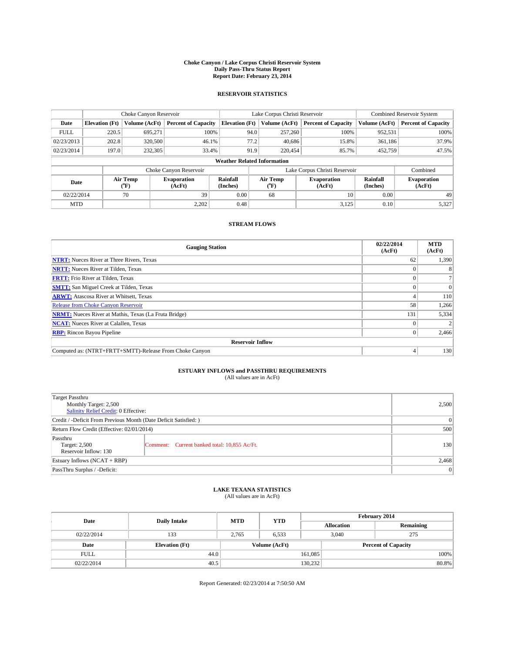#### **Choke Canyon / Lake Corpus Christi Reservoir System Daily Pass-Thru Status Report Report Date: February 23, 2014**

### **RESERVOIR STATISTICS**

|             | Choke Canyon Reservoir             |                  |                              |                       | Lake Corpus Christi Reservoir | Combined Reservoir System     |                      |                              |  |
|-------------|------------------------------------|------------------|------------------------------|-----------------------|-------------------------------|-------------------------------|----------------------|------------------------------|--|
| Date        | <b>Elevation</b> (Ft)              | Volume (AcFt)    | <b>Percent of Capacity</b>   | <b>Elevation (Ft)</b> | Volume (AcFt)                 | <b>Percent of Capacity</b>    | Volume (AcFt)        | <b>Percent of Capacity</b>   |  |
| <b>FULL</b> | 220.5                              | 695.271          | 100%                         | 94.0                  | 257,260                       | 100%                          | 952,531              | 100%                         |  |
| 02/23/2013  | 202.8                              | 320,500          | 46.1%                        | 77.2                  | 40,686                        | 15.8%                         | 361,186              | 37.9%                        |  |
| 02/23/2014  | 197.0                              | 232,305          | 33.4%                        | 91.9                  | 220,454                       | 85.7%                         | 452,759              | 47.5%                        |  |
|             | <b>Weather Related Information</b> |                  |                              |                       |                               |                               |                      |                              |  |
|             |                                    |                  | Choke Canyon Reservoir       |                       |                               | Lake Corpus Christi Reservoir |                      | Combined                     |  |
| Date        |                                    | Air Temp<br>(°F) | <b>Evaporation</b><br>(AcFt) | Rainfall<br>(Inches)  | Air Temp<br>$(^{0}F)$         | <b>Evaporation</b><br>(AcFt)  | Rainfall<br>(Inches) | <b>Evaporation</b><br>(AcFt) |  |
| 02/22/2014  |                                    | 70               | 39                           | 0.00                  | 68                            | 10                            | 0.00                 | 49                           |  |
| <b>MTD</b>  |                                    |                  | 2,202                        | 0.48                  |                               | 3,125                         | 0.10                 | 5,327                        |  |

### **STREAM FLOWS**

| <b>Gauging Station</b>                                       | 02/22/2014<br>(AcFt) | <b>MTD</b><br>(AcFt) |  |  |  |  |
|--------------------------------------------------------------|----------------------|----------------------|--|--|--|--|
| <b>NTRT:</b> Nueces River at Three Rivers, Texas             | 62                   | 1,390                |  |  |  |  |
| <b>NRTT:</b> Nueces River at Tilden, Texas                   |                      |                      |  |  |  |  |
| <b>FRTT:</b> Frio River at Tilden, Texas                     |                      |                      |  |  |  |  |
| <b>SMTT:</b> San Miguel Creek at Tilden, Texas               |                      | $\Omega$             |  |  |  |  |
| <b>ARWT:</b> Atascosa River at Whitsett, Texas               |                      | 110                  |  |  |  |  |
| <b>Release from Choke Canyon Reservoir</b>                   | 58                   | 1,266                |  |  |  |  |
| <b>NRMT:</b> Nueces River at Mathis, Texas (La Fruta Bridge) | 131                  | 5,334                |  |  |  |  |
| <b>NCAT:</b> Nueces River at Calallen, Texas                 |                      |                      |  |  |  |  |
| <b>RBP:</b> Rincon Bayou Pipeline                            | $\Omega$             | 2,466                |  |  |  |  |
| <b>Reservoir Inflow</b>                                      |                      |                      |  |  |  |  |
| Computed as: (NTRT+FRTT+SMTT)-Release From Choke Canyon      | 4                    | 130                  |  |  |  |  |

# **ESTUARY INFLOWS and PASSTHRU REQUIREMENTS**<br>(All values are in AcFt)

| Target Passthru<br>Monthly Target: 2,500<br>Salinity Relief Credit: 0 Effective: | 2,500                                        |     |  |
|----------------------------------------------------------------------------------|----------------------------------------------|-----|--|
| Credit / -Deficit From Previous Month (Date Deficit Satisfied: )                 | 0                                            |     |  |
| Return Flow Credit (Effective: 02/01/2014)                                       |                                              |     |  |
| Passthru<br>Target: 2,500<br>Reservoir Inflow: 130                               | Comment: Current banked total: 10,855 Ac/Ft. | 130 |  |
| Estuary Inflows $(NCAT + RBP)$                                                   | 2,468                                        |     |  |
| PassThru Surplus / -Deficit:                                                     | 0                                            |     |  |

## **LAKE TEXANA STATISTICS** (All values are in AcFt)

| Date        | <b>Daily Intake</b>   | <b>MTD</b> | <b>YTD</b>    | February 2014 |                            |           |  |
|-------------|-----------------------|------------|---------------|---------------|----------------------------|-----------|--|
|             |                       |            |               |               | <b>Allocation</b>          | Remaining |  |
| 02/22/2014  | 133                   | 2,765      | 6,533         |               | 3,040<br>275               |           |  |
| Date        | <b>Elevation</b> (Ft) |            | Volume (AcFt) |               | <b>Percent of Capacity</b> |           |  |
| <b>FULL</b> | 44.0                  |            |               | 161,085       |                            | 100%      |  |
| 02/22/2014  | 40.5                  |            |               | 130,232       |                            | 80.8%     |  |

Report Generated: 02/23/2014 at 7:50:50 AM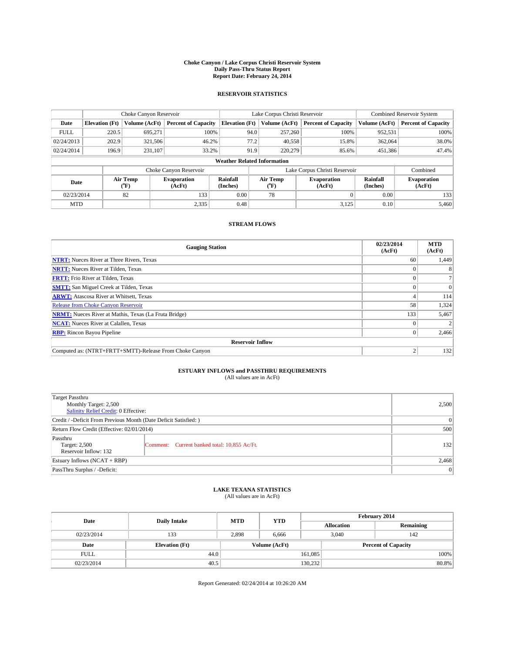#### **Choke Canyon / Lake Corpus Christi Reservoir System Daily Pass-Thru Status Report Report Date: February 24, 2014**

### **RESERVOIR STATISTICS**

|                                    | Choke Canyon Reservoir |                  |                              |                       | Lake Corpus Christi Reservoir | <b>Combined Reservoir System</b> |                      |                              |  |
|------------------------------------|------------------------|------------------|------------------------------|-----------------------|-------------------------------|----------------------------------|----------------------|------------------------------|--|
| Date                               | <b>Elevation</b> (Ft)  | Volume (AcFt)    | <b>Percent of Capacity</b>   | <b>Elevation (Ft)</b> | Volume (AcFt)                 | <b>Percent of Capacity</b>       | Volume (AcFt)        | <b>Percent of Capacity</b>   |  |
| <b>FULL</b>                        | 220.5                  | 695.271          | 100%                         |                       | 257,260<br>94.0               | 100%                             | 952,531              | 100%                         |  |
| 02/24/2013                         | 202.9                  | 321,506          | 46.2%                        |                       | 77.2<br>40,558                | 15.8%                            | 362,064              | 38.0%                        |  |
| 02/24/2014                         | 196.9                  | 231,107          | 33.2%                        |                       | 91.9<br>220,279               | 85.6%                            | 451,386              | 47.4%                        |  |
| <b>Weather Related Information</b> |                        |                  |                              |                       |                               |                                  |                      |                              |  |
|                                    |                        |                  | Choke Canyon Reservoir       |                       |                               | Lake Corpus Christi Reservoir    |                      | Combined                     |  |
| Date                               |                        | Air Temp<br>(°F) | <b>Evaporation</b><br>(AcFt) | Rainfall<br>(Inches)  | Air Temp<br>(°F)              | <b>Evaporation</b><br>(AcFt)     | Rainfall<br>(Inches) | <b>Evaporation</b><br>(AcFt) |  |
| 02/23/2014                         |                        | 82               | 133                          | 0.00                  | 78                            |                                  | 0.00                 | 133                          |  |
| <b>MTD</b>                         |                        |                  | 2,335                        | 0.48                  |                               | 3,125                            | 0.10                 | 5.460                        |  |

### **STREAM FLOWS**

| <b>Gauging Station</b>                                       | 02/23/2014<br>(AcFt) | <b>MTD</b><br>(AcFt) |  |  |  |  |
|--------------------------------------------------------------|----------------------|----------------------|--|--|--|--|
| <b>NTRT:</b> Nueces River at Three Rivers, Texas             | 60                   | 1,449                |  |  |  |  |
| <b>NRTT:</b> Nueces River at Tilden, Texas                   |                      |                      |  |  |  |  |
| <b>FRTT:</b> Frio River at Tilden, Texas                     |                      |                      |  |  |  |  |
| <b>SMTT:</b> San Miguel Creek at Tilden, Texas               |                      | $\Omega$             |  |  |  |  |
| <b>ARWT:</b> Atascosa River at Whitsett, Texas               |                      | 114                  |  |  |  |  |
| <b>Release from Choke Canyon Reservoir</b>                   | 58                   | 1,324                |  |  |  |  |
| <b>NRMT:</b> Nueces River at Mathis, Texas (La Fruta Bridge) | 133                  | 5,467                |  |  |  |  |
| <b>NCAT:</b> Nueces River at Calallen, Texas                 |                      |                      |  |  |  |  |
| <b>RBP:</b> Rincon Bayou Pipeline                            | $\theta$             | 2,466                |  |  |  |  |
| <b>Reservoir Inflow</b>                                      |                      |                      |  |  |  |  |
| Computed as: (NTRT+FRTT+SMTT)-Release From Choke Canyon      | $\overline{c}$       | 132                  |  |  |  |  |

# **ESTUARY INFLOWS and PASSTHRU REQUIREMENTS**<br>(All values are in AcFt)

| Target Passthru<br>Monthly Target: 2,500<br>Salinity Relief Credit: 0 Effective: | 2,500                                        |     |  |
|----------------------------------------------------------------------------------|----------------------------------------------|-----|--|
| Credit / -Deficit From Previous Month (Date Deficit Satisfied: )                 | 0                                            |     |  |
| Return Flow Credit (Effective: 02/01/2014)                                       |                                              |     |  |
| Passthru<br>Target: 2,500<br>Reservoir Inflow: 132                               | Comment: Current banked total: 10,855 Ac/Ft. | 132 |  |
| Estuary Inflows $(NCAT + RBP)$                                                   | 2,468                                        |     |  |
| PassThru Surplus / -Deficit:                                                     | 0                                            |     |  |

# **LAKE TEXANA STATISTICS** (All values are in AcFt)

| Date        | <b>Daily Intake</b>   | <b>MTD</b> | <b>YTD</b>    | February 2014 |                            |           |  |
|-------------|-----------------------|------------|---------------|---------------|----------------------------|-----------|--|
|             |                       |            |               |               | <b>Allocation</b>          | Remaining |  |
| 02/23/2014  | 133                   | 2,898      | 6,666         |               | 3,040<br>142               |           |  |
| Date        | <b>Elevation</b> (Ft) |            | Volume (AcFt) |               | <b>Percent of Capacity</b> |           |  |
| <b>FULL</b> | 44.0                  |            |               | 161,085       |                            | 100%      |  |
| 02/23/2014  | 40.5                  |            |               | 130,232       |                            | 80.8%     |  |

Report Generated: 02/24/2014 at 10:26:20 AM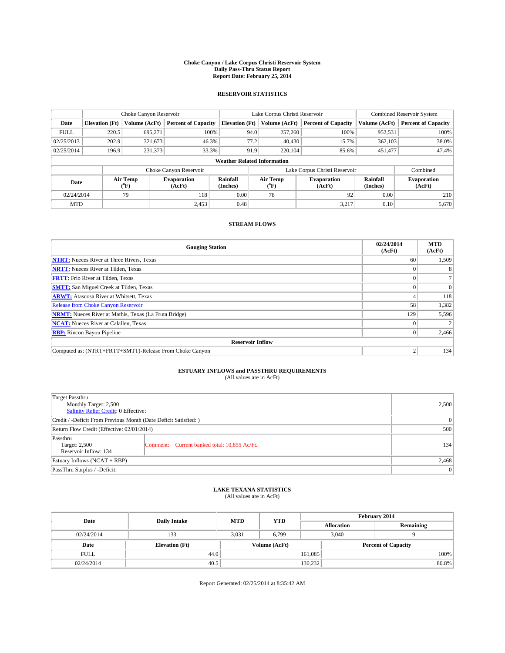#### **Choke Canyon / Lake Corpus Christi Reservoir System Daily Pass-Thru Status Report Report Date: February 25, 2014**

### **RESERVOIR STATISTICS**

|             | Choke Canyon Reservoir             |                  |                              |                       | Lake Corpus Christi Reservoir | Combined Reservoir System     |                      |                              |  |
|-------------|------------------------------------|------------------|------------------------------|-----------------------|-------------------------------|-------------------------------|----------------------|------------------------------|--|
| Date        | <b>Elevation</b> (Ft)              | Volume (AcFt)    | <b>Percent of Capacity</b>   | <b>Elevation (Ft)</b> | Volume (AcFt)                 | <b>Percent of Capacity</b>    | Volume (AcFt)        | <b>Percent of Capacity</b>   |  |
| <b>FULL</b> | 220.5                              | 695.271          | 100%                         |                       | 94.0<br>257,260               | 100%                          | 952,531              | 100%                         |  |
| 02/25/2013  | 202.9                              | 321,673          | 46.3%                        |                       | 77.2<br>40,430                | 15.7%                         | 362,103              | 38.0%                        |  |
| 02/25/2014  | 196.9                              | 231,373          | 33.3%                        |                       | 91.9<br>220,104               | 85.6%                         | 451,477              | 47.4%                        |  |
|             | <b>Weather Related Information</b> |                  |                              |                       |                               |                               |                      |                              |  |
|             |                                    |                  | Choke Canyon Reservoir       |                       |                               | Lake Corpus Christi Reservoir |                      | Combined                     |  |
| Date        |                                    | Air Temp<br>(°F) | <b>Evaporation</b><br>(AcFt) | Rainfall<br>(Inches)  | Air Temp<br>(°F)              | <b>Evaporation</b><br>(AcFt)  | Rainfall<br>(Inches) | <b>Evaporation</b><br>(AcFt) |  |
|             | 02/24/2014<br>79                   |                  | 118                          | 0.00                  | 78                            | 92                            | 0.00                 | 210                          |  |
| <b>MTD</b>  |                                    |                  | 2.453                        | 0.48                  |                               | 3,217                         | 0.10                 | 5,670                        |  |

### **STREAM FLOWS**

| <b>Gauging Station</b>                                       | 02/24/2014<br>(AcFt) | <b>MTD</b><br>(AcFt) |  |  |  |  |
|--------------------------------------------------------------|----------------------|----------------------|--|--|--|--|
| <b>NTRT:</b> Nueces River at Three Rivers, Texas             | 60                   | 1,509                |  |  |  |  |
| <b>NRTT:</b> Nueces River at Tilden, Texas                   |                      |                      |  |  |  |  |
| <b>FRTT:</b> Frio River at Tilden, Texas                     |                      |                      |  |  |  |  |
| <b>SMTT:</b> San Miguel Creek at Tilden, Texas               |                      | $\Omega$             |  |  |  |  |
| <b>ARWT:</b> Atascosa River at Whitsett, Texas               |                      | 118                  |  |  |  |  |
| <b>Release from Choke Canyon Reservoir</b>                   | 58                   | 1,382                |  |  |  |  |
| <b>NRMT:</b> Nueces River at Mathis, Texas (La Fruta Bridge) | 129                  | 5,596                |  |  |  |  |
| <b>NCAT:</b> Nueces River at Calallen, Texas                 |                      |                      |  |  |  |  |
| <b>RBP:</b> Rincon Bayou Pipeline                            | $\theta$             | 2,466                |  |  |  |  |
| <b>Reservoir Inflow</b>                                      |                      |                      |  |  |  |  |
| Computed as: (NTRT+FRTT+SMTT)-Release From Choke Canyon      | $\overline{c}$       | 134                  |  |  |  |  |

# **ESTUARY INFLOWS and PASSTHRU REQUIREMENTS**<br>(All values are in AcFt)

| Target Passthru<br>Monthly Target: 2,500<br>Salinity Relief Credit: 0 Effective: | 2,500                                        |     |  |  |
|----------------------------------------------------------------------------------|----------------------------------------------|-----|--|--|
| Credit / -Deficit From Previous Month (Date Deficit Satisfied: )                 |                                              |     |  |  |
| Return Flow Credit (Effective: 02/01/2014)                                       |                                              |     |  |  |
| Passthru<br>Target: 2,500<br>Reservoir Inflow: 134                               | Comment: Current banked total: 10,855 Ac/Ft. | 134 |  |  |
| Estuary Inflows $(NCAT + RBP)$                                                   |                                              |     |  |  |
| PassThru Surplus / -Deficit:                                                     | 0                                            |     |  |  |

# **LAKE TEXANA STATISTICS** (All values are in AcFt)

| Date        | <b>Daily Intake</b>   | <b>MTD</b>    | <b>YTD</b> | February 2014 |                            |           |  |
|-------------|-----------------------|---------------|------------|---------------|----------------------------|-----------|--|
|             |                       |               |            |               | <b>Allocation</b>          | Remaining |  |
| 02/24/2014  | 133                   | 3,031         | 6,799      |               | 3,040                      |           |  |
| Date        | <b>Elevation</b> (Ft) | Volume (AcFt) |            |               | <b>Percent of Capacity</b> |           |  |
| <b>FULL</b> | 44.0                  |               |            | 161.085       |                            | 100%      |  |
| 02/24/2014  | 40.5                  |               |            | 130,232       |                            | 80.8%     |  |

Report Generated: 02/25/2014 at 8:35:42 AM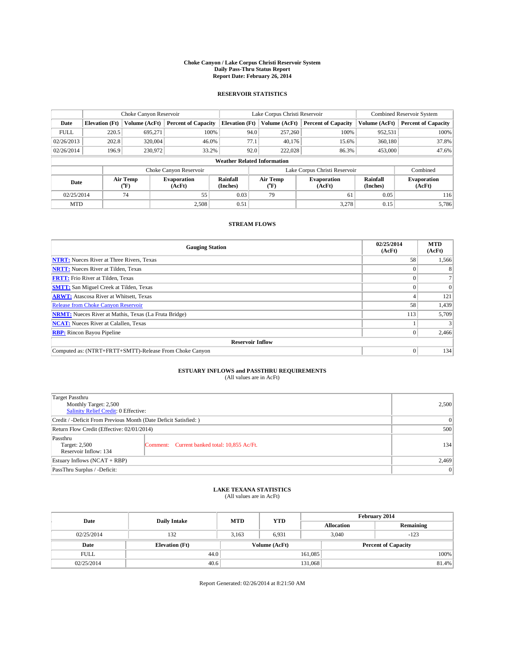#### **Choke Canyon / Lake Corpus Christi Reservoir System Daily Pass-Thru Status Report Report Date: February 26, 2014**

### **RESERVOIR STATISTICS**

|             | Choke Canyon Reservoir             |                  |                              |                       | Lake Corpus Christi Reservoir | Combined Reservoir System     |                      |                              |  |
|-------------|------------------------------------|------------------|------------------------------|-----------------------|-------------------------------|-------------------------------|----------------------|------------------------------|--|
| Date        | <b>Elevation</b> (Ft)              | Volume (AcFt)    | <b>Percent of Capacity</b>   | <b>Elevation (Ft)</b> | Volume (AcFt)                 | <b>Percent of Capacity</b>    | Volume (AcFt)        | <b>Percent of Capacity</b>   |  |
| <b>FULL</b> | 220.5                              | 695.271          | 100%                         | 94.0                  | 257,260                       | 100%                          | 952,531              | 100%                         |  |
| 02/26/2013  | 202.8                              | 320,004          | 46.0%                        | 77.1                  | 40,176                        | 15.6%                         | 360,180              | 37.8%                        |  |
| 02/26/2014  | 196.9                              | 230,972          | 33.2%                        | 92.0                  | 222,028                       | 86.3%                         | 453,000              | 47.6%                        |  |
|             | <b>Weather Related Information</b> |                  |                              |                       |                               |                               |                      |                              |  |
|             |                                    |                  | Choke Canyon Reservoir       |                       |                               | Lake Corpus Christi Reservoir |                      | Combined                     |  |
| Date        |                                    | Air Temp<br>(°F) | <b>Evaporation</b><br>(AcFt) | Rainfall<br>(Inches)  | Air Temp<br>$\rm ^{(^o}\!F)$  | <b>Evaporation</b><br>(AcFt)  | Rainfall<br>(Inches) | <b>Evaporation</b><br>(AcFt) |  |
|             | 55<br>02/25/2014<br>74             |                  |                              | 0.03                  | 79<br>61                      |                               | 0.05                 | 116                          |  |
| <b>MTD</b>  |                                    |                  | 2,508                        | 0.51                  |                               | 3,278                         | 0.15                 | 5.786                        |  |

### **STREAM FLOWS**

| <b>Gauging Station</b>                                       | 02/25/2014<br>(AcFt) | <b>MTD</b><br>(AcFt) |  |  |  |  |
|--------------------------------------------------------------|----------------------|----------------------|--|--|--|--|
| <b>NTRT:</b> Nueces River at Three Rivers, Texas             | 58                   | 1,566                |  |  |  |  |
| <b>NRTT:</b> Nueces River at Tilden, Texas                   |                      |                      |  |  |  |  |
| <b>FRTT:</b> Frio River at Tilden, Texas                     |                      |                      |  |  |  |  |
| <b>SMTT:</b> San Miguel Creek at Tilden, Texas               |                      | $\Omega$             |  |  |  |  |
| <b>ARWT:</b> Atascosa River at Whitsett, Texas               |                      | 121                  |  |  |  |  |
| <b>Release from Choke Canyon Reservoir</b>                   | 58                   | 1,439                |  |  |  |  |
| <b>NRMT:</b> Nueces River at Mathis, Texas (La Fruta Bridge) | 113                  | 5,709                |  |  |  |  |
| <b>NCAT:</b> Nueces River at Calallen, Texas                 |                      |                      |  |  |  |  |
| <b>RBP:</b> Rincon Bayou Pipeline                            | $\theta$             | 2,466                |  |  |  |  |
| <b>Reservoir Inflow</b>                                      |                      |                      |  |  |  |  |
| Computed as: (NTRT+FRTT+SMTT)-Release From Choke Canyon      | $\Omega$             | 134                  |  |  |  |  |

# **ESTUARY INFLOWS and PASSTHRU REQUIREMENTS**<br>(All values are in AcFt)

| Target Passthru<br>Monthly Target: 2,500<br>Salinity Relief Credit: 0 Effective: | 2,500                                        |     |  |  |
|----------------------------------------------------------------------------------|----------------------------------------------|-----|--|--|
| Credit / -Deficit From Previous Month (Date Deficit Satisfied: )                 |                                              |     |  |  |
| Return Flow Credit (Effective: 02/01/2014)                                       | 500                                          |     |  |  |
| Passthru<br>Target: 2,500<br>Reservoir Inflow: 134                               | Comment: Current banked total: 10,855 Ac/Ft. | 134 |  |  |
| Estuary Inflows $(NCAT + RBP)$                                                   | 2,469                                        |     |  |  |
| PassThru Surplus / -Deficit:                                                     | 0                                            |     |  |  |

# **LAKE TEXANA STATISTICS** (All values are in AcFt)

| Date        | <b>Daily Intake</b>   | <b>MTD</b>    | <b>YTD</b> | February 2014 |                            |           |  |
|-------------|-----------------------|---------------|------------|---------------|----------------------------|-----------|--|
|             |                       |               |            |               | <b>Allocation</b>          | Remaining |  |
| 02/25/2014  | 132                   | 3,163         | 6,931      |               | 3,040<br>$-123$            |           |  |
| Date        | <b>Elevation</b> (Ft) | Volume (AcFt) |            |               | <b>Percent of Capacity</b> |           |  |
| <b>FULL</b> | 44.0                  |               |            | 161,085       |                            | 100%      |  |
| 02/25/2014  | 40.6                  |               |            | 131,068       |                            | 81.4%     |  |

Report Generated: 02/26/2014 at 8:21:50 AM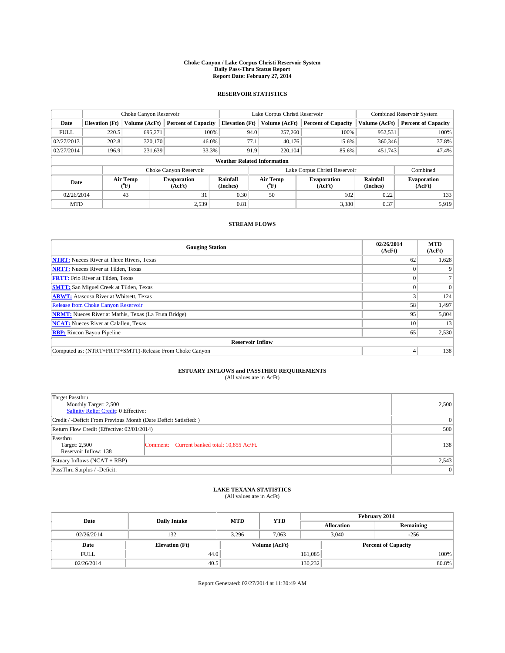#### **Choke Canyon / Lake Corpus Christi Reservoir System Daily Pass-Thru Status Report Report Date: February 27, 2014**

### **RESERVOIR STATISTICS**

|             |                                    | Choke Canyon Reservoir |                              |                       | Lake Corpus Christi Reservoir | <b>Combined Reservoir System</b> |                      |                              |  |
|-------------|------------------------------------|------------------------|------------------------------|-----------------------|-------------------------------|----------------------------------|----------------------|------------------------------|--|
| Date        | <b>Elevation</b> (Ft)              | Volume (AcFt)          | <b>Percent of Capacity</b>   | <b>Elevation (Ft)</b> | Volume (AcFt)                 | <b>Percent of Capacity</b>       | Volume (AcFt)        | <b>Percent of Capacity</b>   |  |
| <b>FULL</b> | 220.5                              | 695,271                | 100%                         | 94.0                  | 257,260                       | 100%                             | 952,531              | 100%                         |  |
| 02/27/2013  | 202.8                              | 320,170                | 46.0%                        | 77.1                  | 40.176                        | 15.6%                            | 360,346              | 37.8%                        |  |
| 02/27/2014  | 196.9                              | 231,639                | 33.3%                        | 91.9                  | 220,104                       | 85.6%                            | 451,743              | 47.4%                        |  |
|             | <b>Weather Related Information</b> |                        |                              |                       |                               |                                  |                      |                              |  |
|             |                                    |                        | Choke Canyon Reservoir       |                       |                               | Lake Corpus Christi Reservoir    |                      | Combined                     |  |
| Date        |                                    | Air Temp<br>(°F)       | <b>Evaporation</b><br>(AcFt) | Rainfall<br>(Inches)  | Air Temp<br>$(^{0}F)$         | <b>Evaporation</b><br>(AcFt)     | Rainfall<br>(Inches) | <b>Evaporation</b><br>(AcFt) |  |
| 02/26/2014  | 43<br>31                           |                        | 0.30                         | 50                    | 102                           | 0.22                             | 133                  |                              |  |
| <b>MTD</b>  |                                    |                        | 2.539                        | 0.81                  |                               | 3,380                            | 0.37                 | 5,919                        |  |

### **STREAM FLOWS**

| <b>Gauging Station</b>                                       | 02/26/2014<br>(AcFt) | <b>MTD</b><br>(AcFt) |  |  |  |  |
|--------------------------------------------------------------|----------------------|----------------------|--|--|--|--|
| <b>NTRT:</b> Nueces River at Three Rivers, Texas             | 62                   | 1,628                |  |  |  |  |
| <b>NRTT:</b> Nueces River at Tilden, Texas                   |                      |                      |  |  |  |  |
| <b>FRTT:</b> Frio River at Tilden, Texas                     |                      |                      |  |  |  |  |
| <b>SMTT:</b> San Miguel Creek at Tilden, Texas               |                      | $\Omega$             |  |  |  |  |
| <b>ARWT:</b> Atascosa River at Whitsett, Texas               |                      | 124                  |  |  |  |  |
| <b>Release from Choke Canyon Reservoir</b>                   | 58                   | 1,497                |  |  |  |  |
| <b>NRMT:</b> Nueces River at Mathis, Texas (La Fruta Bridge) | 95                   | 5,804                |  |  |  |  |
| <b>NCAT:</b> Nueces River at Calallen, Texas                 | 10                   | 13                   |  |  |  |  |
| <b>RBP:</b> Rincon Bayou Pipeline                            | 65                   | 2,530                |  |  |  |  |
| <b>Reservoir Inflow</b>                                      |                      |                      |  |  |  |  |
| Computed as: (NTRT+FRTT+SMTT)-Release From Choke Canyon      | 4                    | 138                  |  |  |  |  |

# **ESTUARY INFLOWS and PASSTHRU REQUIREMENTS**<br>(All values are in AcFt)

| Target Passthru                                                  |                                              |     |  |  |
|------------------------------------------------------------------|----------------------------------------------|-----|--|--|
| Monthly Target: 2,500                                            | 2,500                                        |     |  |  |
| Salinity Relief Credit: 0 Effective:                             |                                              |     |  |  |
| Credit / -Deficit From Previous Month (Date Deficit Satisfied: ) |                                              |     |  |  |
| Return Flow Credit (Effective: 02/01/2014)                       | 500                                          |     |  |  |
| Passthru<br>Target: 2,500                                        | Comment: Current banked total: 10,855 Ac/Ft. | 138 |  |  |
| Reservoir Inflow: 138                                            |                                              |     |  |  |
| Estuary Inflows (NCAT + RBP)                                     | 2,543                                        |     |  |  |
| PassThru Surplus / -Deficit:                                     | 0                                            |     |  |  |

# **LAKE TEXANA STATISTICS** (All values are in AcFt)

| Date        | <b>Daily Intake</b>   | <b>MTD</b>    | <b>YTD</b> | February 2014 |                            |           |  |
|-------------|-----------------------|---------------|------------|---------------|----------------------------|-----------|--|
|             |                       |               |            |               | <b>Allocation</b>          | Remaining |  |
| 02/26/2014  | 132                   | 3,296         | 7,063      |               | 3,040<br>$-256$            |           |  |
| Date        | <b>Elevation</b> (Ft) | Volume (AcFt) |            |               | <b>Percent of Capacity</b> |           |  |
| <b>FULL</b> | 44.0                  |               |            | 161,085       |                            | 100%      |  |
| 02/26/2014  | 40.5                  |               |            | 130,232       |                            | 80.8%     |  |

Report Generated: 02/27/2014 at 11:30:49 AM